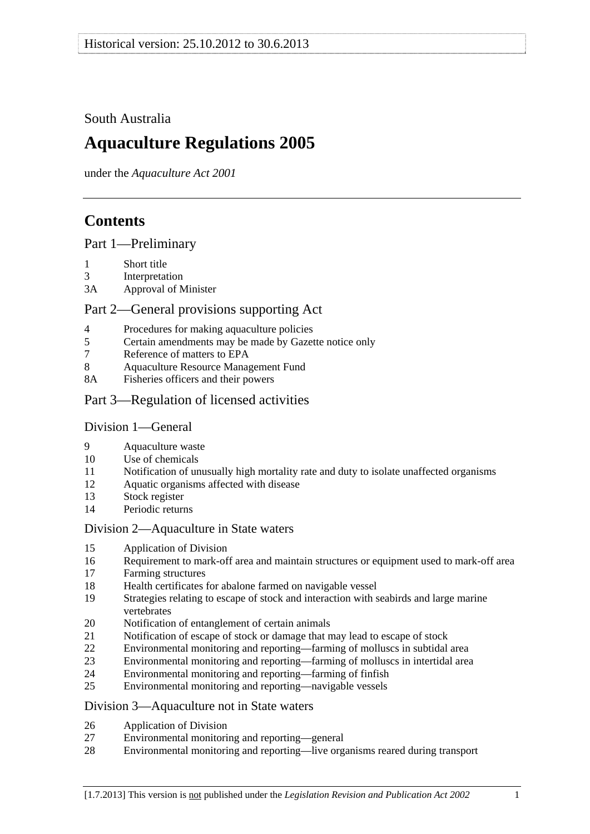## <span id="page-0-0"></span>South Australia

# **Aquaculture Regulations 2005**

under the *Aquaculture Act 2001*

## **Contents**

## [Part 1—Preliminary](#page-1-0)

- [1 Short title](#page-1-0)
- [3 Interpretation](#page-1-0)
- [3A Approval of Minister](#page-3-0)

## [Part 2—General provisions supporting Act](#page-3-0)

- [4 Procedures for making aquaculture policies](#page-3-0)
- [5 Certain amendments may be made by Gazette notice only](#page-4-0)
- [7 Reference of matters to EPA](#page-4-0)
- [8 Aquaculture Resource Management Fund](#page-4-0)
- [8A Fisheries officers and their powers](#page-4-0)
- [Part 3—Regulation of licensed activities](#page-4-0)

## [Division 1—General](#page-4-0)

- [9 Aquaculture waste](#page-4-0)
- [10 Use of chemicals](#page-5-0)
- [11 Notification of unusually high mortality rate and duty to isolate unaffected organisms](#page-5-0)
- [12 Aquatic organisms affected with disease](#page-6-0)
- [13 Stock register](#page-6-0)
- [14 Periodic returns](#page-8-0)

## [Division 2—Aquaculture in State waters](#page-8-0)

- [15 Application of Division](#page-8-0)
- [16 Requirement to mark-off area and maintain structures or equipment used to mark-off area](#page-9-0)
- [17 Farming structures](#page-9-0)
- [18 Health certificates for abalone farmed on navigable vessel](#page-10-0)
- [19 Strategies relating to escape of stock and interaction with seabirds and large marine](#page-10-0)  [vertebrates](#page-10-0)
- [20 Notification of entanglement of certain animals](#page-11-0)
- [21 Notification of escape of stock or damage that may lead to escape of stock](#page-11-0)
- [22 Environmental monitoring and reporting—farming of molluscs in subtidal area](#page-12-0)
- [23 Environmental monitoring and reporting—farming of molluscs in intertidal area](#page-14-0)
- [24 Environmental monitoring and reporting—farming of finfish](#page-15-0)
- [25 Environmental monitoring and reporting—navigable vessels](#page-18-0)

## [Division 3—Aquaculture not in State waters](#page-19-0)

- [26 Application of Division](#page-19-0)
- [27 Environmental monitoring and reporting—general](#page-19-0)
- [28 Environmental monitoring and reporting—live organisms reared during transport](#page-22-0)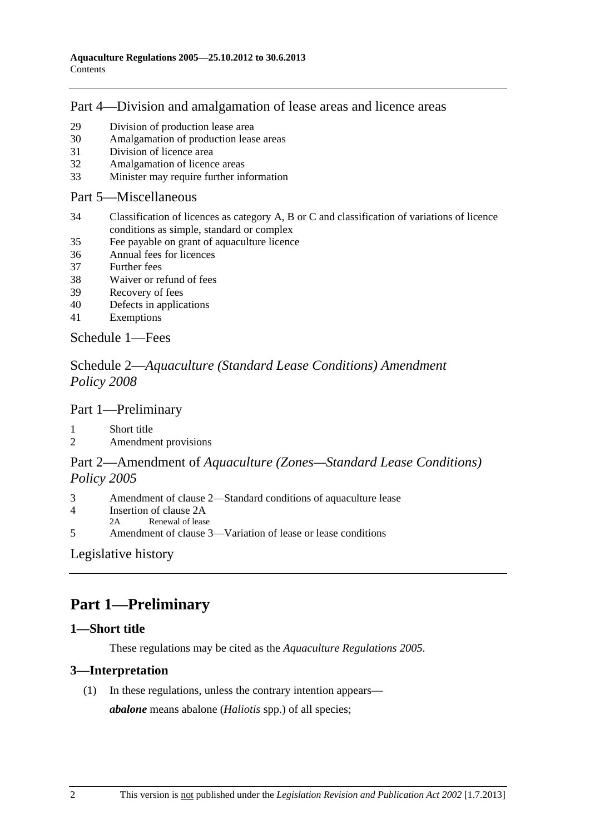## <span id="page-1-0"></span>[Part 4—Division and amalgamation of lease areas and licence areas](#page-23-0)

- [29 Division of production lease area](#page-23-0)
- [30 Amalgamation of production lease areas](#page-24-0)
- [31 Division of licence area](#page-25-0)
- [32 Amalgamation of licence areas](#page-25-0)
- [33 Minister may require further information](#page-26-0)

#### [Part 5—Miscellaneous](#page-26-0)

- [34 Classification of licences as category A, B or C and classification of variations of licence](#page-26-0)  [conditions as simple, standard or complex](#page-26-0)
- [35 Fee payable on grant of aquaculture licence](#page-27-0)
- [36 Annual fees for licences](#page-27-0)
- [37 Further fees](#page-27-0)
- [38 Waiver or refund of fees](#page-28-0)
- [39 Recovery of fees](#page-28-0)
- [40 Defects in applications](#page-28-0)
- [41 Exemptions](#page-28-0)

[Schedule 1—Fees](#page-28-0)

## Schedule 2—*[Aquaculture \(Standard Lease Conditions\) Amendment](#page-31-0)  [Policy 2008](#page-31-0)*

## [Part 1—Preliminary](#page-0-0)

- [1 Short title](#page-31-0)
- [2 Amendment provisions](#page-31-0)

## Part 2—Amendment of *[Aquaculture \(Zones—Standard Lease Conditions\)](#page-0-0)  [Policy 2005](#page-0-0)*

- [3 Amendment of clause 2—Standard conditions of aquaculture lease](#page-31-0)
- [4 Insertion of clause 2A](#page-31-0)
- [2A Renewal of lease](#page-0-0)
- [5 Amendment of clause 3—Variation of lease or lease conditions](#page-32-0)

## [Legislative history](#page-33-0)

# **Part 1—Preliminary**

## **1—Short title**

These regulations may be cited as the *Aquaculture Regulations 2005*.

## **3—Interpretation**

(1) In these regulations, unless the contrary intention appears—

*abalone* means abalone (*Haliotis* spp.) of all species;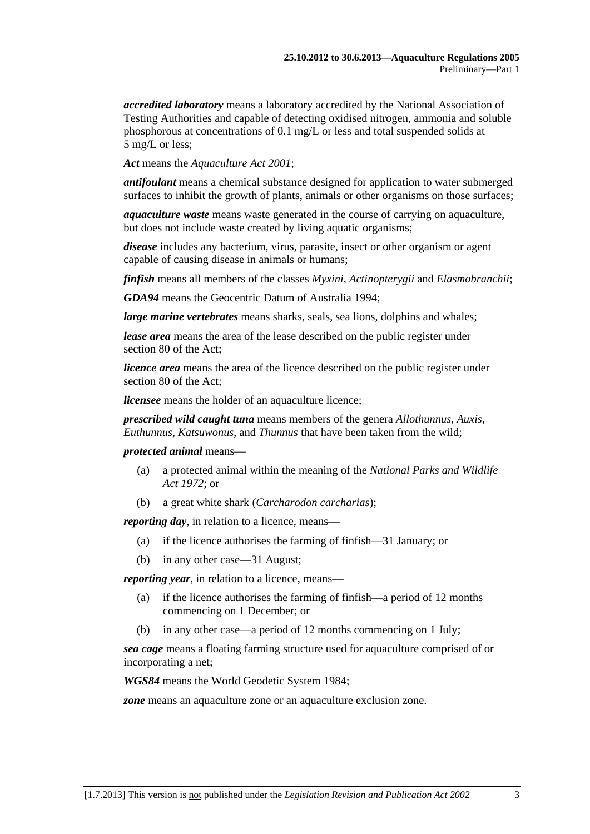*accredited laboratory* means a laboratory accredited by the National Association of Testing Authorities and capable of detecting oxidised nitrogen, ammonia and soluble phosphorous at concentrations of 0.1 mg/L or less and total suspended solids at 5 mg/L or less;

*Act* means the *[Aquaculture Act 2001](http://www.legislation.sa.gov.au/index.aspx?action=legref&type=act&legtitle=Aquaculture%20Act%202001)*;

*antifoulant* means a chemical substance designed for application to water submerged surfaces to inhibit the growth of plants, animals or other organisms on those surfaces;

*aquaculture waste* means waste generated in the course of carrying on aquaculture, but does not include waste created by living aquatic organisms;

*disease* includes any bacterium, virus, parasite, insect or other organism or agent capable of causing disease in animals or humans;

*finfish* means all members of the classes *Myxini*, *Actinopterygii* and *Elasmobranchii*;

*GDA94* means the Geocentric Datum of Australia 1994;

*large marine vertebrates* means sharks, seals, sea lions, dolphins and whales;

*lease area* means the area of the lease described on the public register under section 80 of the Act;

*licence area* means the area of the licence described on the public register under section 80 of the Act;

*licensee* means the holder of an aquaculture licence;

*prescribed wild caught tuna* means members of the genera *Allothunnus*, *Auxis*, *Euthunnus*, *Katsuwonus*, and *Thunnus* that have been taken from the wild;

#### *protected animal* means—

- (a) a protected animal within the meaning of the *[National Parks and Wildlife](http://www.legislation.sa.gov.au/index.aspx?action=legref&type=act&legtitle=National%20Parks%20and%20Wildlife%20Act%201972)  [Act 1972](http://www.legislation.sa.gov.au/index.aspx?action=legref&type=act&legtitle=National%20Parks%20and%20Wildlife%20Act%201972)*; or
- (b) a great white shark (*Carcharodon carcharias*);

*reporting day*, in relation to a licence, means—

- (a) if the licence authorises the farming of finfish—31 January; or
- (b) in any other case—31 August;

*reporting year*, in relation to a licence, means—

- (a) if the licence authorises the farming of finfish—a period of 12 months commencing on 1 December; or
- (b) in any other case—a period of 12 months commencing on 1 July;

*sea cage* means a floating farming structure used for aquaculture comprised of or incorporating a net;

*WGS84* means the World Geodetic System 1984;

*zone* means an aquaculture zone or an aquaculture exclusion zone.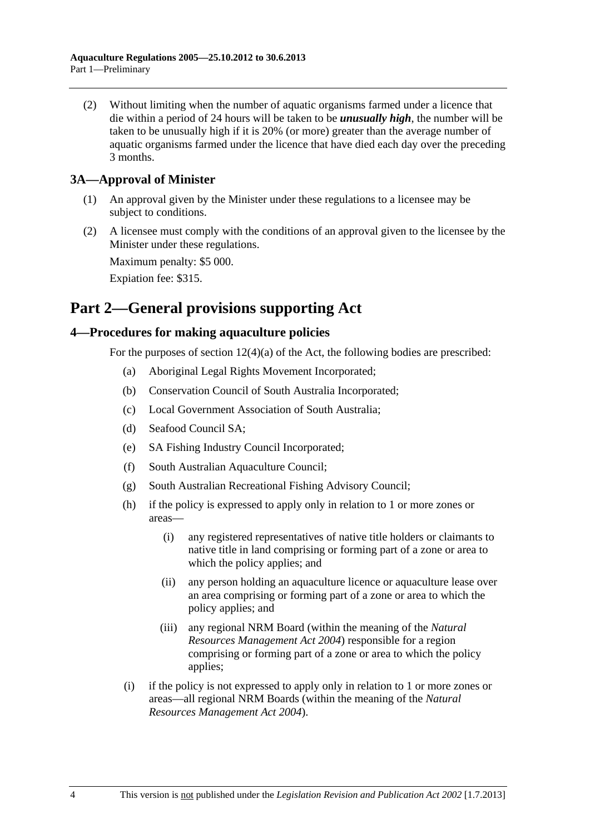<span id="page-3-0"></span> (2) Without limiting when the number of aquatic organisms farmed under a licence that die within a period of 24 hours will be taken to be *unusually high*, the number will be taken to be unusually high if it is 20% (or more) greater than the average number of aquatic organisms farmed under the licence that have died each day over the preceding 3 months.

## **3A—Approval of Minister**

- (1) An approval given by the Minister under these regulations to a licensee may be subject to conditions.
- (2) A licensee must comply with the conditions of an approval given to the licensee by the Minister under these regulations.

Maximum penalty: \$5 000.

Expiation fee: \$315.

## **Part 2—General provisions supporting Act**

## **4—Procedures for making aquaculture policies**

For the purposes of section  $12(4)(a)$  of the Act, the following bodies are prescribed:

- (a) Aboriginal Legal Rights Movement Incorporated;
- (b) Conservation Council of South Australia Incorporated;
- (c) Local Government Association of South Australia;
- (d) Seafood Council SA;
- (e) SA Fishing Industry Council Incorporated;
- (f) South Australian Aquaculture Council;
- (g) South Australian Recreational Fishing Advisory Council;
- (h) if the policy is expressed to apply only in relation to 1 or more zones or areas—
	- (i) any registered representatives of native title holders or claimants to native title in land comprising or forming part of a zone or area to which the policy applies; and
	- (ii) any person holding an aquaculture licence or aquaculture lease over an area comprising or forming part of a zone or area to which the policy applies; and
	- (iii) any regional NRM Board (within the meaning of the *[Natural](http://www.legislation.sa.gov.au/index.aspx?action=legref&type=act&legtitle=Natural%20Resources%20Management%20Act%202004)  [Resources Management Act 2004](http://www.legislation.sa.gov.au/index.aspx?action=legref&type=act&legtitle=Natural%20Resources%20Management%20Act%202004)*) responsible for a region comprising or forming part of a zone or area to which the policy applies;
- (i) if the policy is not expressed to apply only in relation to 1 or more zones or areas—all regional NRM Boards (within the meaning of the *[Natural](http://www.legislation.sa.gov.au/index.aspx?action=legref&type=act&legtitle=Natural%20Resources%20Management%20Act%202004)  [Resources Management Act 2004](http://www.legislation.sa.gov.au/index.aspx?action=legref&type=act&legtitle=Natural%20Resources%20Management%20Act%202004)*).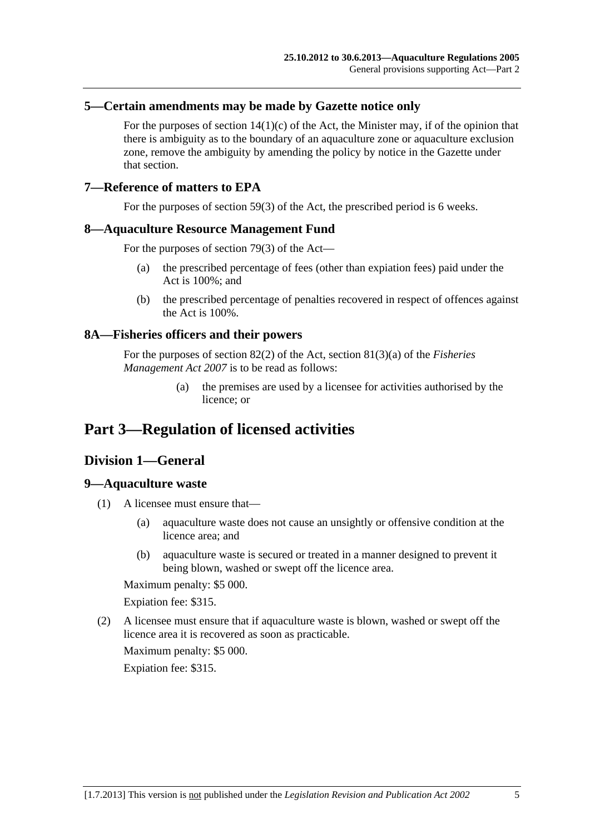#### <span id="page-4-0"></span>**5—Certain amendments may be made by Gazette notice only**

For the purposes of section  $14(1)(c)$  of the Act, the Minister may, if of the opinion that there is ambiguity as to the boundary of an aquaculture zone or aquaculture exclusion zone, remove the ambiguity by amending the policy by notice in the Gazette under that section.

#### **7—Reference of matters to EPA**

For the purposes of section 59(3) of the Act, the prescribed period is 6 weeks.

#### **8—Aquaculture Resource Management Fund**

For the purposes of section 79(3) of the Act—

- (a) the prescribed percentage of fees (other than expiation fees) paid under the Act is 100%; and
- (b) the prescribed percentage of penalties recovered in respect of offences against the Act is 100%.

#### **8A—Fisheries officers and their powers**

For the purposes of section 82(2) of the Act, section 81(3)(a) of the *[Fisheries](http://www.legislation.sa.gov.au/index.aspx?action=legref&type=act&legtitle=Fisheries%20Management%20Act%202007)  [Management Act 2007](http://www.legislation.sa.gov.au/index.aspx?action=legref&type=act&legtitle=Fisheries%20Management%20Act%202007)* is to be read as follows:

> (a) the premises are used by a licensee for activities authorised by the licence; or

## **Part 3—Regulation of licensed activities**

## **Division 1—General**

#### **9—Aquaculture waste**

- (1) A licensee must ensure that—
	- (a) aquaculture waste does not cause an unsightly or offensive condition at the licence area; and
	- (b) aquaculture waste is secured or treated in a manner designed to prevent it being blown, washed or swept off the licence area.

Maximum penalty: \$5 000.

Expiation fee: \$315.

 (2) A licensee must ensure that if aquaculture waste is blown, washed or swept off the licence area it is recovered as soon as practicable.

Maximum penalty: \$5 000.

Expiation fee: \$315.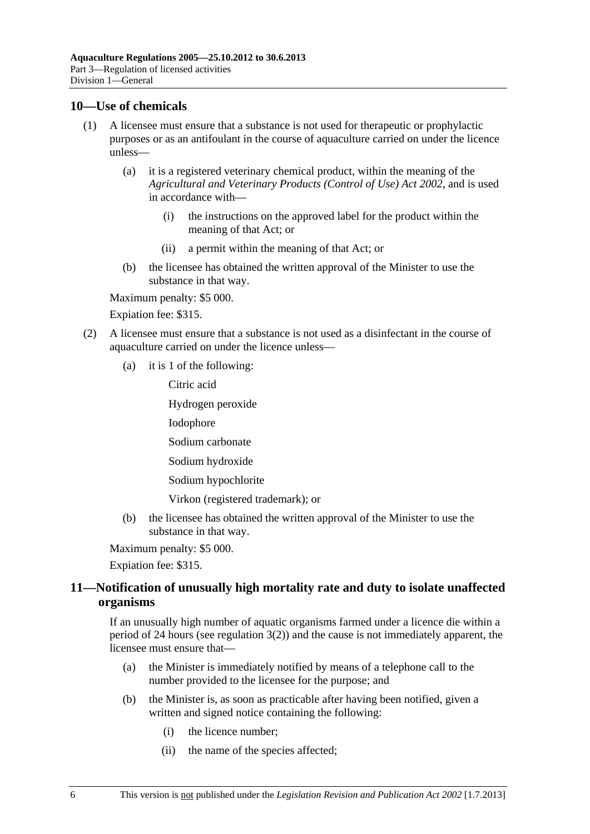#### <span id="page-5-0"></span>**10—Use of chemicals**

- (1) A licensee must ensure that a substance is not used for therapeutic or prophylactic purposes or as an antifoulant in the course of aquaculture carried on under the licence unless—
	- (a) it is a registered veterinary chemical product, within the meaning of the *[Agricultural and Veterinary Products \(Control of Use\) Act 2002](http://www.legislation.sa.gov.au/index.aspx?action=legref&type=act&legtitle=Agricultural%20and%20Veterinary%20Products%20(Control%20of%20Use)%20Act%202002)*, and is used in accordance with—
		- (i) the instructions on the approved label for the product within the meaning of that Act; or
		- (ii) a permit within the meaning of that Act; or
	- (b) the licensee has obtained the written approval of the Minister to use the substance in that way.

Maximum penalty: \$5 000.

Expiation fee: \$315.

- (2) A licensee must ensure that a substance is not used as a disinfectant in the course of aquaculture carried on under the licence unless—
	- (a) it is 1 of the following:

Citric acid

Hydrogen peroxide

Iodophore

Sodium carbonate

Sodium hydroxide

Sodium hypochlorite

Virkon (registered trademark); or

 (b) the licensee has obtained the written approval of the Minister to use the substance in that way.

Maximum penalty: \$5 000.

Expiation fee: \$315.

## **11—Notification of unusually high mortality rate and duty to isolate unaffected organisms**

If an unusually high number of aquatic organisms farmed under a licence die within a period of 24 hours (see [regulation 3\(2\)](#page-3-0)) and the cause is not immediately apparent, the licensee must ensure that—

- (a) the Minister is immediately notified by means of a telephone call to the number provided to the licensee for the purpose; and
- (b) the Minister is, as soon as practicable after having been notified, given a written and signed notice containing the following:
	- (i) the licence number;
	- (ii) the name of the species affected;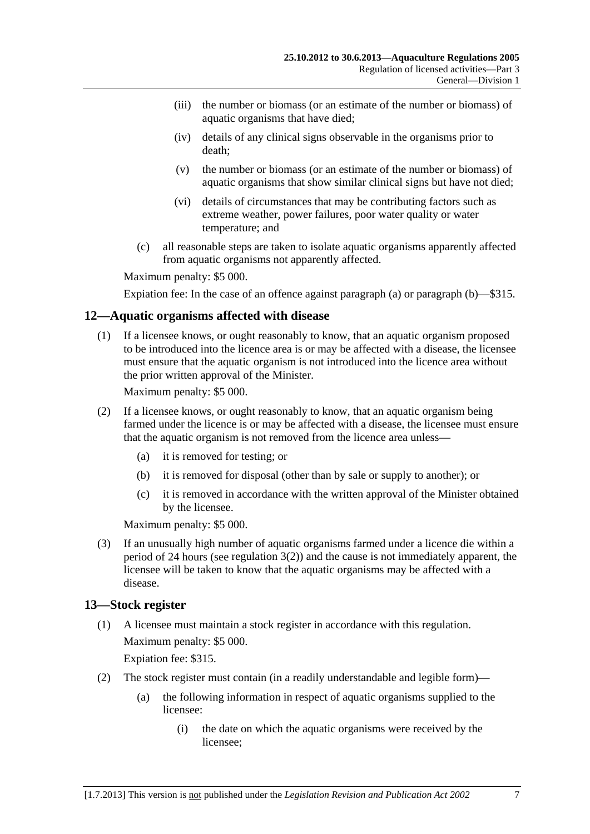- <span id="page-6-0"></span> (iii) the number or biomass (or an estimate of the number or biomass) of aquatic organisms that have died;
- (iv) details of any clinical signs observable in the organisms prior to death;
- (v) the number or biomass (or an estimate of the number or biomass) of aquatic organisms that show similar clinical signs but have not died;
- (vi) details of circumstances that may be contributing factors such as extreme weather, power failures, poor water quality or water temperature; and
- (c) all reasonable steps are taken to isolate aquatic organisms apparently affected from aquatic organisms not apparently affected.

Expiation fee: In the case of an offence against [paragraph \(a\)](#page-5-0) or [paragraph \(b\)—](#page-5-0)\$315.

#### **12—Aquatic organisms affected with disease**

 (1) If a licensee knows, or ought reasonably to know, that an aquatic organism proposed to be introduced into the licence area is or may be affected with a disease, the licensee must ensure that the aquatic organism is not introduced into the licence area without the prior written approval of the Minister.

Maximum penalty: \$5 000.

- (2) If a licensee knows, or ought reasonably to know, that an aquatic organism being farmed under the licence is or may be affected with a disease, the licensee must ensure that the aquatic organism is not removed from the licence area unless—
	- (a) it is removed for testing; or
	- (b) it is removed for disposal (other than by sale or supply to another); or
	- (c) it is removed in accordance with the written approval of the Minister obtained by the licensee.

Maximum penalty: \$5 000.

 (3) If an unusually high number of aquatic organisms farmed under a licence die within a period of 24 hours (see [regulation 3\(2\)](#page-3-0)) and the cause is not immediately apparent, the licensee will be taken to know that the aquatic organisms may be affected with a disease.

#### **13—Stock register**

 (1) A licensee must maintain a stock register in accordance with this regulation. Maximum penalty: \$5 000.

Expiation fee: \$315.

- (2) The stock register must contain (in a readily understandable and legible form)—
	- (a) the following information in respect of aquatic organisms supplied to the licensee:
		- (i) the date on which the aquatic organisms were received by the licensee;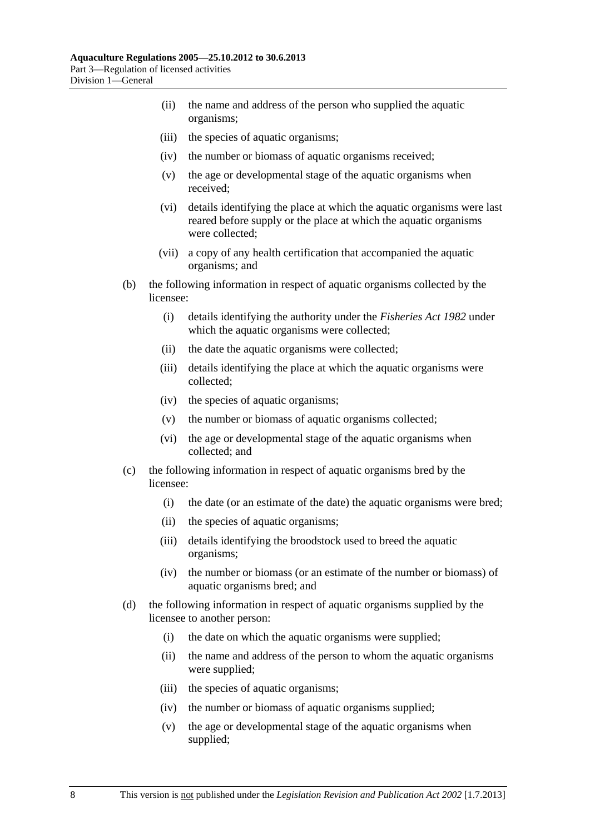- (ii) the name and address of the person who supplied the aquatic organisms;
- (iii) the species of aquatic organisms;
- (iv) the number or biomass of aquatic organisms received;
- (v) the age or developmental stage of the aquatic organisms when received;
- (vi) details identifying the place at which the aquatic organisms were last reared before supply or the place at which the aquatic organisms were collected;
- (vii) a copy of any health certification that accompanied the aquatic organisms; and
- (b) the following information in respect of aquatic organisms collected by the licensee:
	- (i) details identifying the authority under the *[Fisheries Act 1982](http://www.legislation.sa.gov.au/index.aspx?action=legref&type=act&legtitle=Fisheries%20Act%201982)* under which the aquatic organisms were collected;
	- (ii) the date the aquatic organisms were collected;
	- (iii) details identifying the place at which the aquatic organisms were collected;
	- (iv) the species of aquatic organisms;
	- (v) the number or biomass of aquatic organisms collected;
	- (vi) the age or developmental stage of the aquatic organisms when collected; and
- (c) the following information in respect of aquatic organisms bred by the licensee:
	- (i) the date (or an estimate of the date) the aquatic organisms were bred;
	- (ii) the species of aquatic organisms;
	- (iii) details identifying the broodstock used to breed the aquatic organisms;
	- (iv) the number or biomass (or an estimate of the number or biomass) of aquatic organisms bred; and
- (d) the following information in respect of aquatic organisms supplied by the licensee to another person:
	- (i) the date on which the aquatic organisms were supplied;
	- (ii) the name and address of the person to whom the aquatic organisms were supplied;
	- (iii) the species of aquatic organisms;
	- (iv) the number or biomass of aquatic organisms supplied;
	- (v) the age or developmental stage of the aquatic organisms when supplied;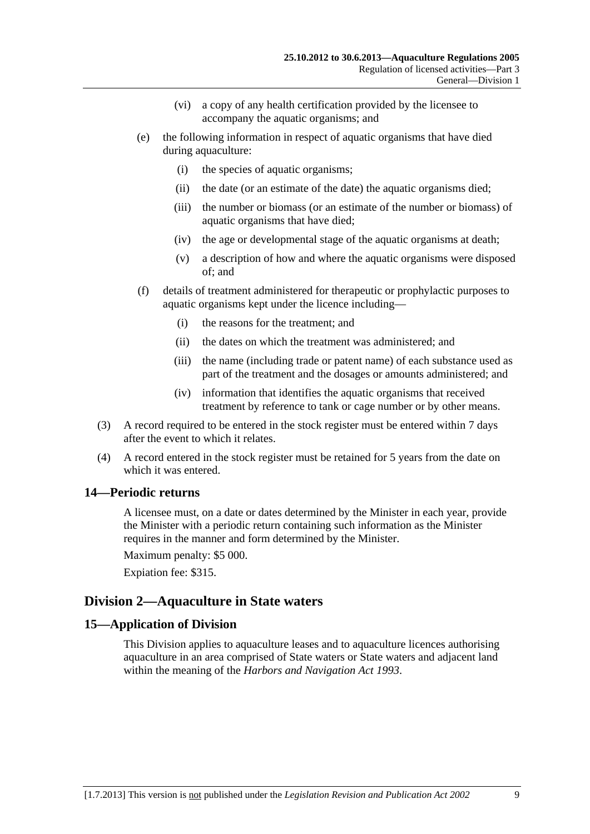- (vi) a copy of any health certification provided by the licensee to accompany the aquatic organisms; and
- <span id="page-8-0"></span> (e) the following information in respect of aquatic organisms that have died during aquaculture:
	- (i) the species of aquatic organisms;
	- (ii) the date (or an estimate of the date) the aquatic organisms died;
	- (iii) the number or biomass (or an estimate of the number or biomass) of aquatic organisms that have died;
	- (iv) the age or developmental stage of the aquatic organisms at death;
	- (v) a description of how and where the aquatic organisms were disposed of; and
- (f) details of treatment administered for therapeutic or prophylactic purposes to aquatic organisms kept under the licence including—
	- (i) the reasons for the treatment; and
	- (ii) the dates on which the treatment was administered; and
	- (iii) the name (including trade or patent name) of each substance used as part of the treatment and the dosages or amounts administered; and
	- (iv) information that identifies the aquatic organisms that received treatment by reference to tank or cage number or by other means.
- (3) A record required to be entered in the stock register must be entered within 7 days after the event to which it relates.
- (4) A record entered in the stock register must be retained for 5 years from the date on which it was entered.

## **14—Periodic returns**

A licensee must, on a date or dates determined by the Minister in each year, provide the Minister with a periodic return containing such information as the Minister requires in the manner and form determined by the Minister.

Maximum penalty: \$5 000.

Expiation fee: \$315.

## **Division 2—Aquaculture in State waters**

## **15—Application of Division**

This Division applies to aquaculture leases and to aquaculture licences authorising aquaculture in an area comprised of State waters or State waters and adjacent land within the meaning of the *[Harbors and Navigation Act 1993](http://www.legislation.sa.gov.au/index.aspx?action=legref&type=act&legtitle=Harbors%20and%20Navigation%20Act%201993)*.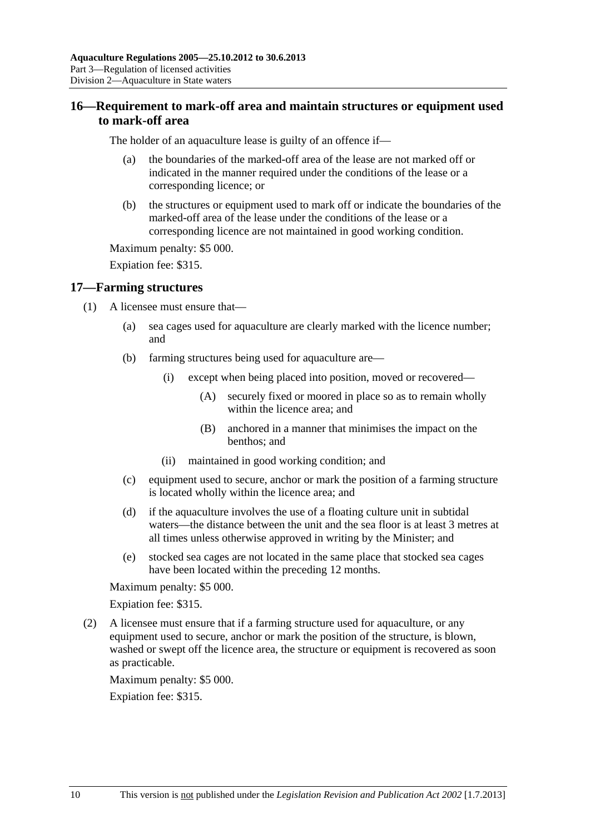## <span id="page-9-0"></span>**16—Requirement to mark-off area and maintain structures or equipment used to mark-off area**

The holder of an aquaculture lease is guilty of an offence if—

- (a) the boundaries of the marked-off area of the lease are not marked off or indicated in the manner required under the conditions of the lease or a corresponding licence; or
- (b) the structures or equipment used to mark off or indicate the boundaries of the marked-off area of the lease under the conditions of the lease or a corresponding licence are not maintained in good working condition.

Maximum penalty: \$5 000.

Expiation fee: \$315.

#### **17—Farming structures**

- (1) A licensee must ensure that—
	- (a) sea cages used for aquaculture are clearly marked with the licence number; and
	- (b) farming structures being used for aquaculture are—
		- (i) except when being placed into position, moved or recovered—
			- (A) securely fixed or moored in place so as to remain wholly within the licence area; and
			- (B) anchored in a manner that minimises the impact on the benthos; and
		- (ii) maintained in good working condition; and
	- (c) equipment used to secure, anchor or mark the position of a farming structure is located wholly within the licence area; and
	- (d) if the aquaculture involves the use of a floating culture unit in subtidal waters—the distance between the unit and the sea floor is at least 3 metres at all times unless otherwise approved in writing by the Minister; and
	- (e) stocked sea cages are not located in the same place that stocked sea cages have been located within the preceding 12 months.

Maximum penalty: \$5 000.

Expiation fee: \$315.

 (2) A licensee must ensure that if a farming structure used for aquaculture, or any equipment used to secure, anchor or mark the position of the structure, is blown, washed or swept off the licence area, the structure or equipment is recovered as soon as practicable.

Maximum penalty: \$5 000.

Expiation fee: \$315.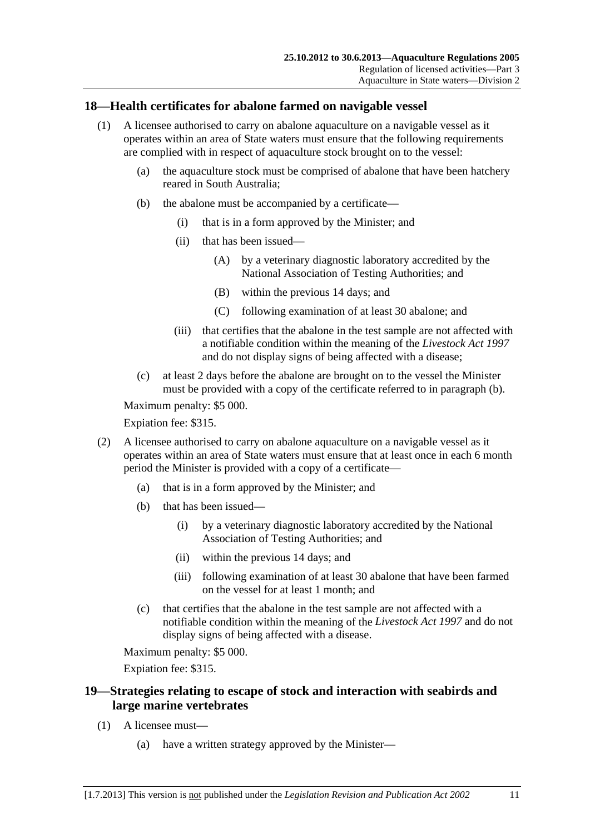#### <span id="page-10-0"></span>**18—Health certificates for abalone farmed on navigable vessel**

- (1) A licensee authorised to carry on abalone aquaculture on a navigable vessel as it operates within an area of State waters must ensure that the following requirements are complied with in respect of aquaculture stock brought on to the vessel:
	- (a) the aquaculture stock must be comprised of abalone that have been hatchery reared in South Australia;
	- (b) the abalone must be accompanied by a certificate—
		- (i) that is in a form approved by the Minister; and
		- (ii) that has been issued—
			- (A) by a veterinary diagnostic laboratory accredited by the National Association of Testing Authorities; and
			- (B) within the previous 14 days; and
			- (C) following examination of at least 30 abalone; and
		- (iii) that certifies that the abalone in the test sample are not affected with a notifiable condition within the meaning of the *[Livestock Act 1997](http://www.legislation.sa.gov.au/index.aspx?action=legref&type=act&legtitle=Livestock%20Act%201997)* and do not display signs of being affected with a disease;
	- (c) at least 2 days before the abalone are brought on to the vessel the Minister must be provided with a copy of the certificate referred to in [paragraph \(b\)](#page-10-0).

Maximum penalty: \$5 000.

Expiation fee: \$315.

- (2) A licensee authorised to carry on abalone aquaculture on a navigable vessel as it operates within an area of State waters must ensure that at least once in each 6 month period the Minister is provided with a copy of a certificate—
	- (a) that is in a form approved by the Minister; and
	- (b) that has been issued—
		- (i) by a veterinary diagnostic laboratory accredited by the National Association of Testing Authorities; and
		- (ii) within the previous 14 days; and
		- (iii) following examination of at least 30 abalone that have been farmed on the vessel for at least 1 month; and
	- (c) that certifies that the abalone in the test sample are not affected with a notifiable condition within the meaning of the *[Livestock Act 1997](http://www.legislation.sa.gov.au/index.aspx?action=legref&type=act&legtitle=Livestock%20Act%201997)* and do not display signs of being affected with a disease.

Maximum penalty: \$5 000.

Expiation fee: \$315.

## **19—Strategies relating to escape of stock and interaction with seabirds and large marine vertebrates**

- (1) A licensee must—
	- (a) have a written strategy approved by the Minister—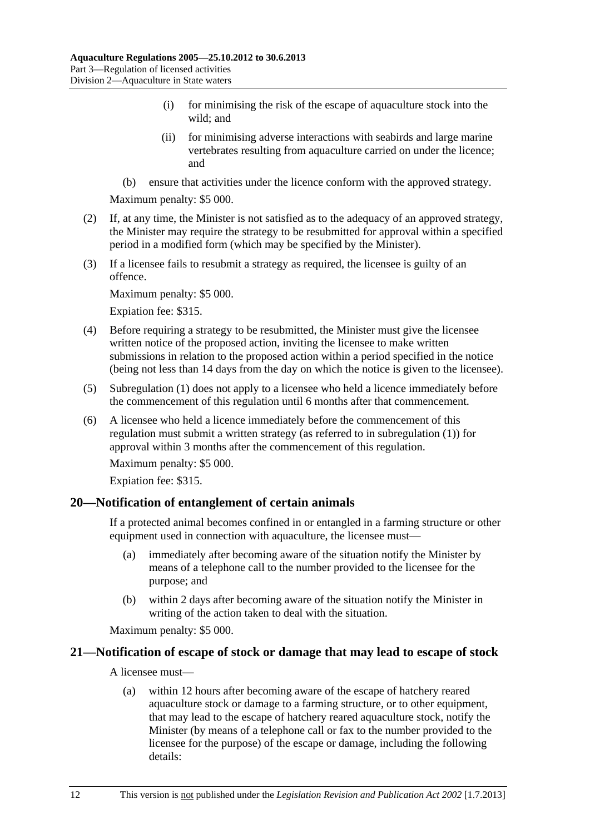- <span id="page-11-0"></span> (i) for minimising the risk of the escape of aquaculture stock into the wild; and
- (ii) for minimising adverse interactions with seabirds and large marine vertebrates resulting from aquaculture carried on under the licence; and
- (b) ensure that activities under the licence conform with the approved strategy.

- (2) If, at any time, the Minister is not satisfied as to the adequacy of an approved strategy, the Minister may require the strategy to be resubmitted for approval within a specified period in a modified form (which may be specified by the Minister).
- (3) If a licensee fails to resubmit a strategy as required, the licensee is guilty of an offence.

Maximum penalty: \$5 000.

Expiation fee: \$315.

- (4) Before requiring a strategy to be resubmitted, the Minister must give the licensee written notice of the proposed action, inviting the licensee to make written submissions in relation to the proposed action within a period specified in the notice (being not less than 14 days from the day on which the notice is given to the licensee).
- (5) [Subregulation \(1\)](#page-10-0) does not apply to a licensee who held a licence immediately before the commencement of this regulation until 6 months after that commencement.
- (6) A licensee who held a licence immediately before the commencement of this regulation must submit a written strategy (as referred to in [subregulation \(1\)](#page-10-0)) for approval within 3 months after the commencement of this regulation. Maximum penalty: \$5 000.

Expiation fee: \$315.

#### **20—Notification of entanglement of certain animals**

If a protected animal becomes confined in or entangled in a farming structure or other equipment used in connection with aquaculture, the licensee must—

- (a) immediately after becoming aware of the situation notify the Minister by means of a telephone call to the number provided to the licensee for the purpose; and
- (b) within 2 days after becoming aware of the situation notify the Minister in writing of the action taken to deal with the situation.

Maximum penalty: \$5 000.

## **21—Notification of escape of stock or damage that may lead to escape of stock**

A licensee must—

 (a) within 12 hours after becoming aware of the escape of hatchery reared aquaculture stock or damage to a farming structure, or to other equipment, that may lead to the escape of hatchery reared aquaculture stock, notify the Minister (by means of a telephone call or fax to the number provided to the licensee for the purpose) of the escape or damage, including the following details: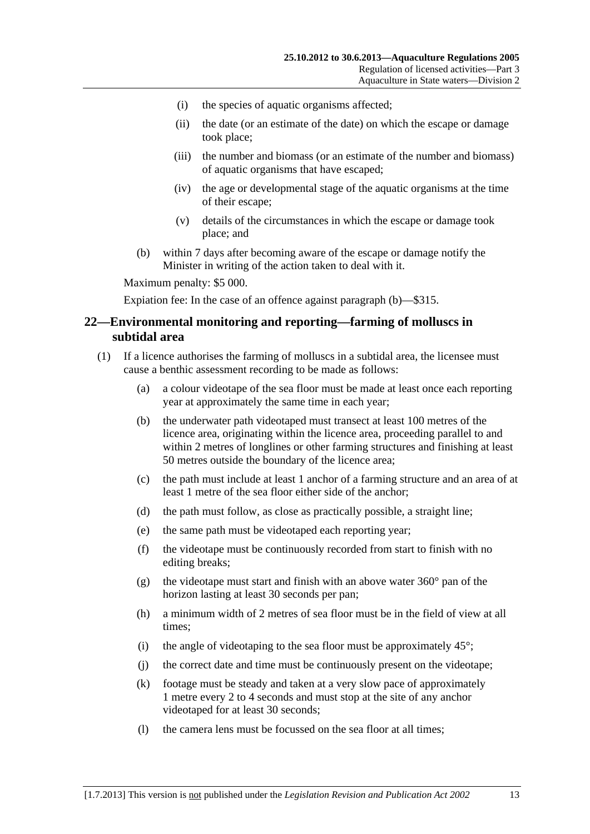- <span id="page-12-0"></span>(i) the species of aquatic organisms affected;
- (ii) the date (or an estimate of the date) on which the escape or damage took place;
- (iii) the number and biomass (or an estimate of the number and biomass) of aquatic organisms that have escaped;
- (iv) the age or developmental stage of the aquatic organisms at the time of their escape;
- (v) details of the circumstances in which the escape or damage took place; and
- (b) within 7 days after becoming aware of the escape or damage notify the Minister in writing of the action taken to deal with it.

Expiation fee: In the case of an offence against [paragraph \(b\)—](#page-12-0)\$315.

#### **22—Environmental monitoring and reporting—farming of molluscs in subtidal area**

- (1) If a licence authorises the farming of molluscs in a subtidal area, the licensee must cause a benthic assessment recording to be made as follows:
	- (a) a colour videotape of the sea floor must be made at least once each reporting year at approximately the same time in each year;
	- (b) the underwater path videotaped must transect at least 100 metres of the licence area, originating within the licence area, proceeding parallel to and within 2 metres of longlines or other farming structures and finishing at least 50 metres outside the boundary of the licence area;
	- (c) the path must include at least 1 anchor of a farming structure and an area of at least 1 metre of the sea floor either side of the anchor;
	- (d) the path must follow, as close as practically possible, a straight line;
	- (e) the same path must be videotaped each reporting year;
	- (f) the videotape must be continuously recorded from start to finish with no editing breaks;
	- (g) the videotape must start and finish with an above water  $360^{\circ}$  pan of the horizon lasting at least 30 seconds per pan;
	- (h) a minimum width of 2 metres of sea floor must be in the field of view at all times;
	- (i) the angle of videotaping to the sea floor must be approximately  $45^{\circ}$ ;
	- (j) the correct date and time must be continuously present on the videotape;
	- (k) footage must be steady and taken at a very slow pace of approximately 1 metre every 2 to 4 seconds and must stop at the site of any anchor videotaped for at least 30 seconds;
	- (l) the camera lens must be focussed on the sea floor at all times;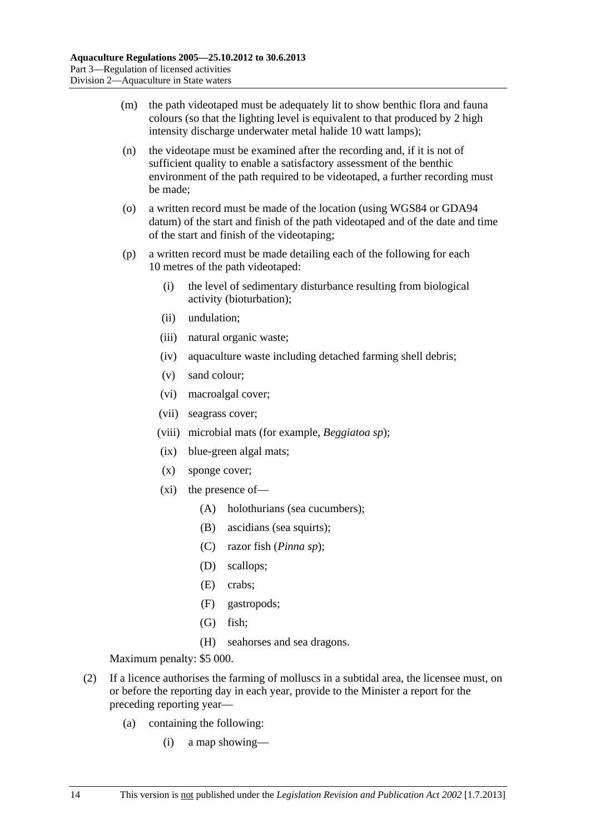- (m) the path videotaped must be adequately lit to show benthic flora and fauna colours (so that the lighting level is equivalent to that produced by 2 high intensity discharge underwater metal halide 10 watt lamps);
- (n) the videotape must be examined after the recording and, if it is not of sufficient quality to enable a satisfactory assessment of the benthic environment of the path required to be videotaped, a further recording must be made;
- (o) a written record must be made of the location (using WGS84 or GDA94 datum) of the start and finish of the path videotaped and of the date and time of the start and finish of the videotaping;
- (p) a written record must be made detailing each of the following for each 10 metres of the path videotaped:
	- (i) the level of sedimentary disturbance resulting from biological activity (bioturbation);
	- (ii) undulation;
	- (iii) natural organic waste;
	- (iv) aquaculture waste including detached farming shell debris;
	- (v) sand colour;
	- (vi) macroalgal cover;
	- (vii) seagrass cover;
	- (viii) microbial mats (for example, *Beggiatoa sp*);
	- (ix) blue-green algal mats;
	- (x) sponge cover;
	- (xi) the presence of—
		- (A) holothurians (sea cucumbers);
		- (B) ascidians (sea squirts):
		- (C) razor fish (*Pinna sp*);
		- (D) scallops;
		- (E) crabs;
		- (F) gastropods;
		- (G) fish;
		- (H) seahorses and sea dragons.

- (2) If a licence authorises the farming of molluscs in a subtidal area, the licensee must, on or before the reporting day in each year, provide to the Minister a report for the preceding reporting year—
	- (a) containing the following:
		- (i) a map showing—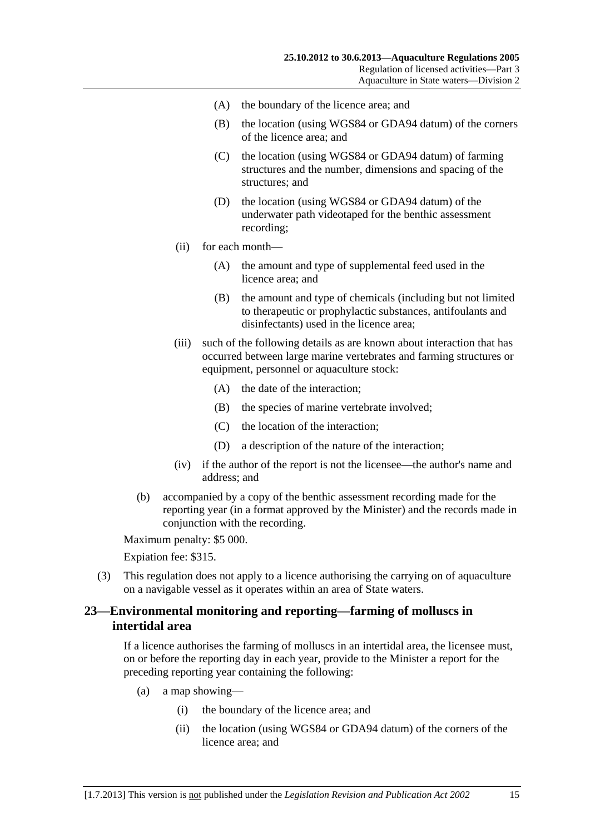- <span id="page-14-0"></span>(A) the boundary of the licence area; and
- (B) the location (using WGS84 or GDA94 datum) of the corners of the licence area; and
- (C) the location (using WGS84 or GDA94 datum) of farming structures and the number, dimensions and spacing of the structures; and
- (D) the location (using WGS84 or GDA94 datum) of the underwater path videotaped for the benthic assessment recording;
- (ii) for each month—
	- (A) the amount and type of supplemental feed used in the licence area; and
	- (B) the amount and type of chemicals (including but not limited to therapeutic or prophylactic substances, antifoulants and disinfectants) used in the licence area;
- (iii) such of the following details as are known about interaction that has occurred between large marine vertebrates and farming structures or equipment, personnel or aquaculture stock:
	- (A) the date of the interaction;
	- (B) the species of marine vertebrate involved;
	- (C) the location of the interaction;
	- (D) a description of the nature of the interaction;
- (iv) if the author of the report is not the licensee—the author's name and address; and
- (b) accompanied by a copy of the benthic assessment recording made for the reporting year (in a format approved by the Minister) and the records made in conjunction with the recording.

Expiation fee: \$315.

 (3) This regulation does not apply to a licence authorising the carrying on of aquaculture on a navigable vessel as it operates within an area of State waters.

#### **23—Environmental monitoring and reporting—farming of molluscs in intertidal area**

If a licence authorises the farming of molluscs in an intertidal area, the licensee must, on or before the reporting day in each year, provide to the Minister a report for the preceding reporting year containing the following:

- (a) a map showing—
	- (i) the boundary of the licence area; and
	- (ii) the location (using WGS84 or GDA94 datum) of the corners of the licence area; and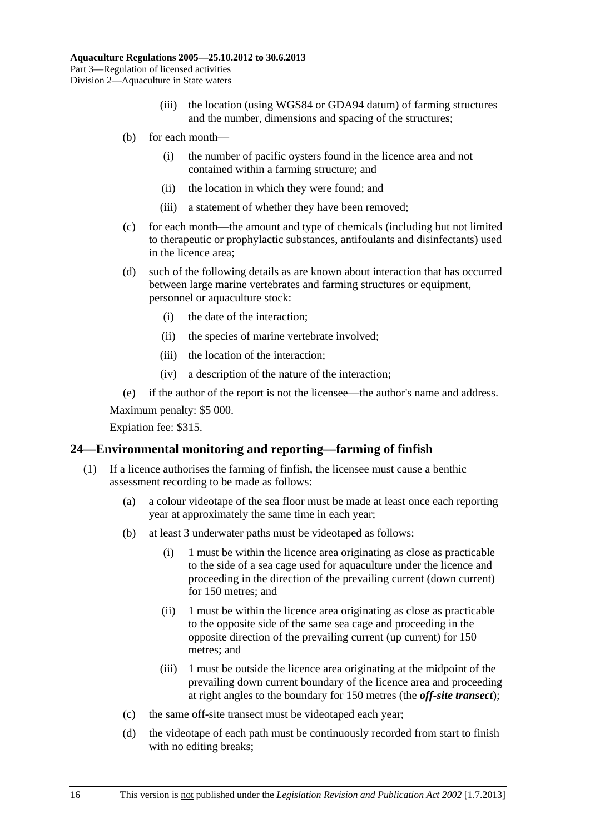- (iii) the location (using WGS84 or GDA94 datum) of farming structures and the number, dimensions and spacing of the structures;
- <span id="page-15-0"></span> (b) for each month—
	- (i) the number of pacific oysters found in the licence area and not contained within a farming structure; and
	- (ii) the location in which they were found; and
	- (iii) a statement of whether they have been removed;
- (c) for each month—the amount and type of chemicals (including but not limited to therapeutic or prophylactic substances, antifoulants and disinfectants) used in the licence area;
- (d) such of the following details as are known about interaction that has occurred between large marine vertebrates and farming structures or equipment, personnel or aquaculture stock:
	- (i) the date of the interaction;
	- (ii) the species of marine vertebrate involved;
	- (iii) the location of the interaction;
	- (iv) a description of the nature of the interaction;
- (e) if the author of the report is not the licensee—the author's name and address.

Expiation fee: \$315.

#### **24—Environmental monitoring and reporting—farming of finfish**

- (1) If a licence authorises the farming of finfish, the licensee must cause a benthic assessment recording to be made as follows:
	- (a) a colour videotape of the sea floor must be made at least once each reporting year at approximately the same time in each year;
	- (b) at least 3 underwater paths must be videotaped as follows:
		- (i) 1 must be within the licence area originating as close as practicable to the side of a sea cage used for aquaculture under the licence and proceeding in the direction of the prevailing current (down current) for 150 metres; and
		- (ii) 1 must be within the licence area originating as close as practicable to the opposite side of the same sea cage and proceeding in the opposite direction of the prevailing current (up current) for 150 metres; and
		- (iii) 1 must be outside the licence area originating at the midpoint of the prevailing down current boundary of the licence area and proceeding at right angles to the boundary for 150 metres (the *off-site transect*);
	- (c) the same off-site transect must be videotaped each year;
	- (d) the videotape of each path must be continuously recorded from start to finish with no editing breaks;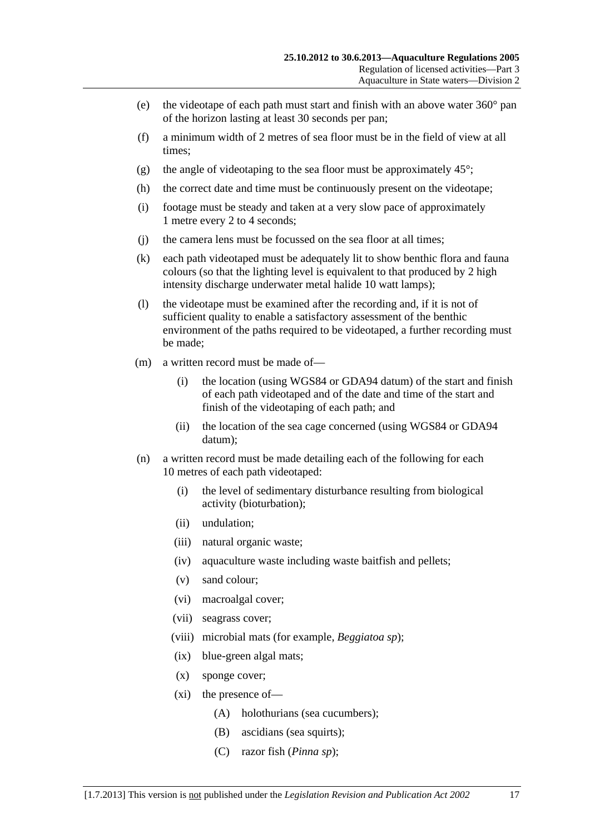- (e) the videotape of each path must start and finish with an above water  $360^{\circ}$  pan of the horizon lasting at least 30 seconds per pan;
- (f) a minimum width of 2 metres of sea floor must be in the field of view at all times;
- (g) the angle of videotaping to the sea floor must be approximately  $45^{\circ}$ ;
- (h) the correct date and time must be continuously present on the videotape;
- (i) footage must be steady and taken at a very slow pace of approximately 1 metre every 2 to 4 seconds;
- (j) the camera lens must be focussed on the sea floor at all times;
- (k) each path videotaped must be adequately lit to show benthic flora and fauna colours (so that the lighting level is equivalent to that produced by 2 high intensity discharge underwater metal halide 10 watt lamps);
- (l) the videotape must be examined after the recording and, if it is not of sufficient quality to enable a satisfactory assessment of the benthic environment of the paths required to be videotaped, a further recording must be made;
- (m) a written record must be made of—
	- (i) the location (using WGS84 or GDA94 datum) of the start and finish of each path videotaped and of the date and time of the start and finish of the videotaping of each path; and
	- (ii) the location of the sea cage concerned (using WGS84 or GDA94 datum);
- (n) a written record must be made detailing each of the following for each 10 metres of each path videotaped:
	- (i) the level of sedimentary disturbance resulting from biological activity (bioturbation);
	- (ii) undulation;
	- (iii) natural organic waste;
	- (iv) aquaculture waste including waste baitfish and pellets;
	- (v) sand colour;
	- (vi) macroalgal cover;
	- (vii) seagrass cover;
	- (viii) microbial mats (for example, *Beggiatoa sp*);
	- (ix) blue-green algal mats;
	- (x) sponge cover;
	- (xi) the presence of—
		- (A) holothurians (sea cucumbers);
		- (B) ascidians (sea squirts);
		- (C) razor fish (*Pinna sp*);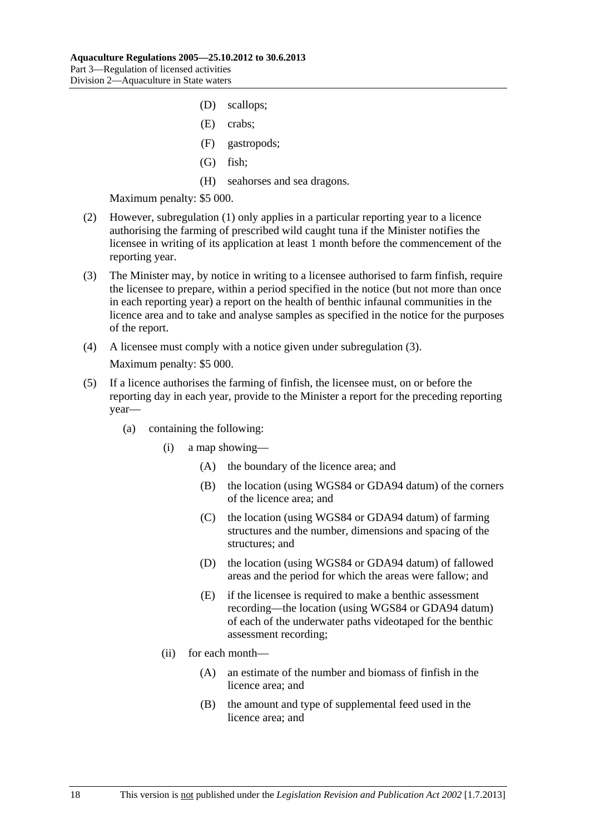- <span id="page-17-0"></span>(D) scallops;
- (E) crabs;
- (F) gastropods;
- (G) fish;
- (H) seahorses and sea dragons.

- (2) However, [subregulation \(1\)](#page-15-0) only applies in a particular reporting year to a licence authorising the farming of prescribed wild caught tuna if the Minister notifies the licensee in writing of its application at least 1 month before the commencement of the reporting year.
- (3) The Minister may, by notice in writing to a licensee authorised to farm finfish, require the licensee to prepare, within a period specified in the notice (but not more than once in each reporting year) a report on the health of benthic infaunal communities in the licence area and to take and analyse samples as specified in the notice for the purposes of the report.
- (4) A licensee must comply with a notice given under [subregulation \(3\).](#page-17-0) Maximum penalty: \$5 000.
- (5) If a licence authorises the farming of finfish, the licensee must, on or before the reporting day in each year, provide to the Minister a report for the preceding reporting year—
	- (a) containing the following:
		- (i) a map showing—
			- (A) the boundary of the licence area; and
			- (B) the location (using WGS84 or GDA94 datum) of the corners of the licence area; and
			- (C) the location (using WGS84 or GDA94 datum) of farming structures and the number, dimensions and spacing of the structures; and
			- (D) the location (using WGS84 or GDA94 datum) of fallowed areas and the period for which the areas were fallow; and
			- (E) if the licensee is required to make a benthic assessment recording—the location (using WGS84 or GDA94 datum) of each of the underwater paths videotaped for the benthic assessment recording;
		- (ii) for each month—
			- (A) an estimate of the number and biomass of finfish in the licence area; and
			- (B) the amount and type of supplemental feed used in the licence area; and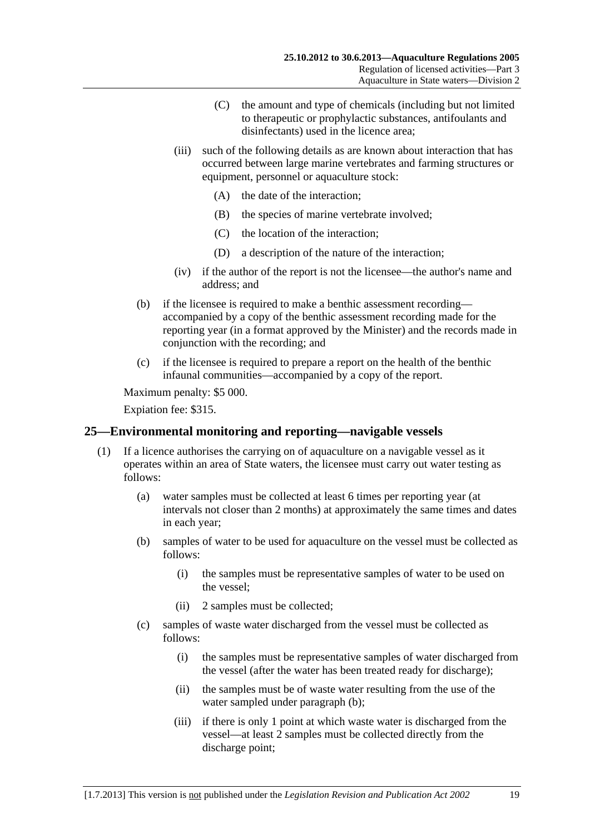- (C) the amount and type of chemicals (including but not limited to therapeutic or prophylactic substances, antifoulants and disinfectants) used in the licence area;
- <span id="page-18-0"></span> (iii) such of the following details as are known about interaction that has occurred between large marine vertebrates and farming structures or equipment, personnel or aquaculture stock:
	- (A) the date of the interaction;
	- (B) the species of marine vertebrate involved;
	- (C) the location of the interaction;
	- (D) a description of the nature of the interaction;
- (iv) if the author of the report is not the licensee—the author's name and address; and
- (b) if the licensee is required to make a benthic assessment recording accompanied by a copy of the benthic assessment recording made for the reporting year (in a format approved by the Minister) and the records made in conjunction with the recording; and
- (c) if the licensee is required to prepare a report on the health of the benthic infaunal communities—accompanied by a copy of the report.

Expiation fee: \$315.

#### **25—Environmental monitoring and reporting—navigable vessels**

- (1) If a licence authorises the carrying on of aquaculture on a navigable vessel as it operates within an area of State waters, the licensee must carry out water testing as follows:
	- (a) water samples must be collected at least 6 times per reporting year (at intervals not closer than 2 months) at approximately the same times and dates in each year;
	- (b) samples of water to be used for aquaculture on the vessel must be collected as follows:
		- (i) the samples must be representative samples of water to be used on the vessel;
		- (ii) 2 samples must be collected;
	- (c) samples of waste water discharged from the vessel must be collected as follows:
		- (i) the samples must be representative samples of water discharged from the vessel (after the water has been treated ready for discharge);
		- (ii) the samples must be of waste water resulting from the use of the water sampled under [paragraph \(b\)](#page-18-0);
		- (iii) if there is only 1 point at which waste water is discharged from the vessel—at least 2 samples must be collected directly from the discharge point;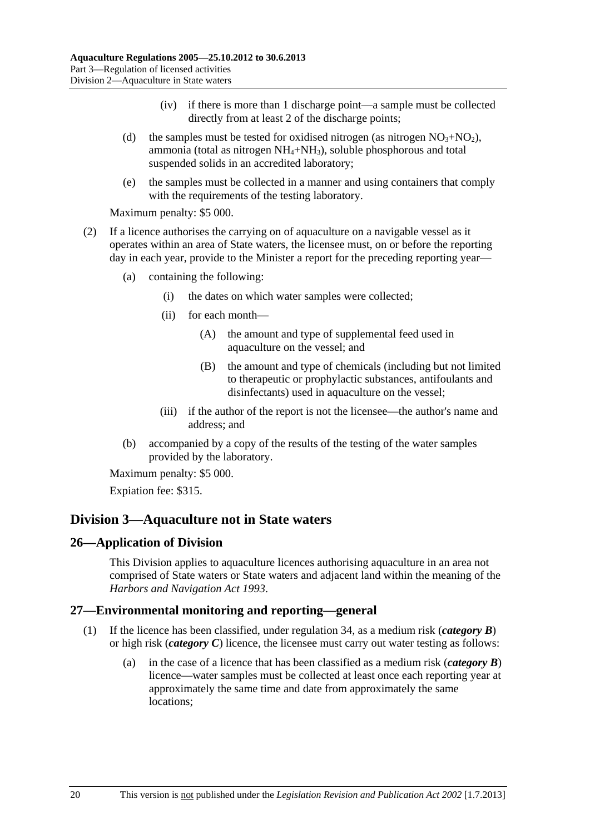- (iv) if there is more than 1 discharge point—a sample must be collected directly from at least 2 of the discharge points;
- <span id="page-19-0"></span>(d) the samples must be tested for oxidised nitrogen (as nitrogen  $NO<sub>3</sub>+NO<sub>2</sub>$ ), ammonia (total as nitrogen  $NH_4+NH_3$ ), soluble phosphorous and total suspended solids in an accredited laboratory;
- (e) the samples must be collected in a manner and using containers that comply with the requirements of the testing laboratory.

- (2) If a licence authorises the carrying on of aquaculture on a navigable vessel as it operates within an area of State waters, the licensee must, on or before the reporting day in each year, provide to the Minister a report for the preceding reporting year—
	- (a) containing the following:
		- (i) the dates on which water samples were collected;
		- (ii) for each month—
			- (A) the amount and type of supplemental feed used in aquaculture on the vessel; and
			- (B) the amount and type of chemicals (including but not limited to therapeutic or prophylactic substances, antifoulants and disinfectants) used in aquaculture on the vessel;
		- (iii) if the author of the report is not the licensee—the author's name and address; and
	- (b) accompanied by a copy of the results of the testing of the water samples provided by the laboratory.

Maximum penalty: \$5 000.

Expiation fee: \$315.

## **Division 3—Aquaculture not in State waters**

#### **26—Application of Division**

This Division applies to aquaculture licences authorising aquaculture in an area not comprised of State waters or State waters and adjacent land within the meaning of the *[Harbors and Navigation Act 1993](http://www.legislation.sa.gov.au/index.aspx?action=legref&type=act&legtitle=Harbors%20and%20Navigation%20Act%201993)*.

## **27—Environmental monitoring and reporting—general**

- (1) If the licence has been classified, under [regulation 34,](#page-26-0) as a medium risk (*category B*) or high risk (*category C*) licence, the licensee must carry out water testing as follows:
	- (a) in the case of a licence that has been classified as a medium risk (*category B*) licence—water samples must be collected at least once each reporting year at approximately the same time and date from approximately the same locations;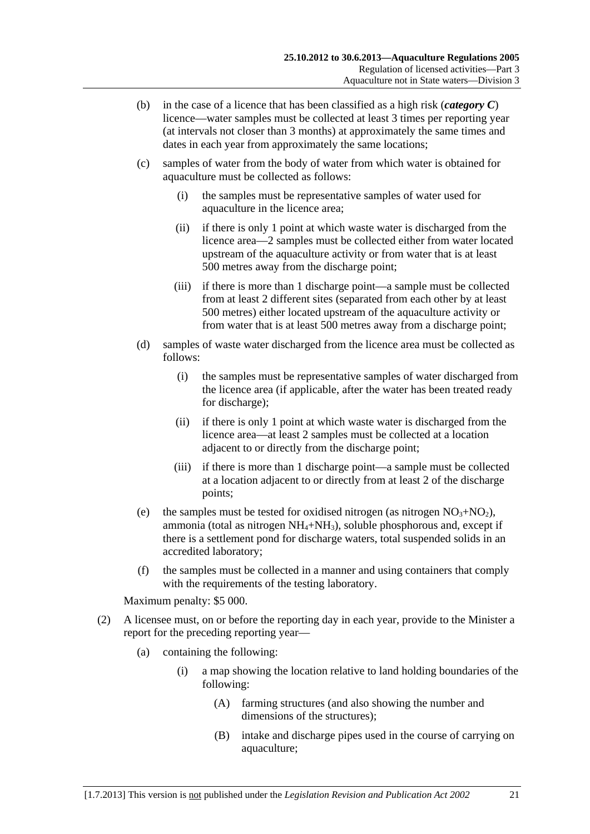- (b) in the case of a licence that has been classified as a high risk (*category C*) licence—water samples must be collected at least 3 times per reporting year (at intervals not closer than 3 months) at approximately the same times and dates in each year from approximately the same locations;
- (c) samples of water from the body of water from which water is obtained for aquaculture must be collected as follows:
	- (i) the samples must be representative samples of water used for aquaculture in the licence area;
	- (ii) if there is only 1 point at which waste water is discharged from the licence area—2 samples must be collected either from water located upstream of the aquaculture activity or from water that is at least 500 metres away from the discharge point;
	- (iii) if there is more than 1 discharge point—a sample must be collected from at least 2 different sites (separated from each other by at least 500 metres) either located upstream of the aquaculture activity or from water that is at least 500 metres away from a discharge point;
- (d) samples of waste water discharged from the licence area must be collected as follows:
	- (i) the samples must be representative samples of water discharged from the licence area (if applicable, after the water has been treated ready for discharge);
	- (ii) if there is only 1 point at which waste water is discharged from the licence area—at least 2 samples must be collected at a location adjacent to or directly from the discharge point;
	- (iii) if there is more than 1 discharge point—a sample must be collected at a location adjacent to or directly from at least 2 of the discharge points;
- (e) the samples must be tested for oxidised nitrogen (as nitrogen  $NO<sub>3</sub>+NO<sub>2</sub>$ ), ammonia (total as nitrogen  $NH_4+NH_3$ ), soluble phosphorous and, except if there is a settlement pond for discharge waters, total suspended solids in an accredited laboratory;
- (f) the samples must be collected in a manner and using containers that comply with the requirements of the testing laboratory.

- (2) A licensee must, on or before the reporting day in each year, provide to the Minister a report for the preceding reporting year—
	- (a) containing the following:
		- (i) a map showing the location relative to land holding boundaries of the following:
			- (A) farming structures (and also showing the number and dimensions of the structures);
			- (B) intake and discharge pipes used in the course of carrying on aquaculture;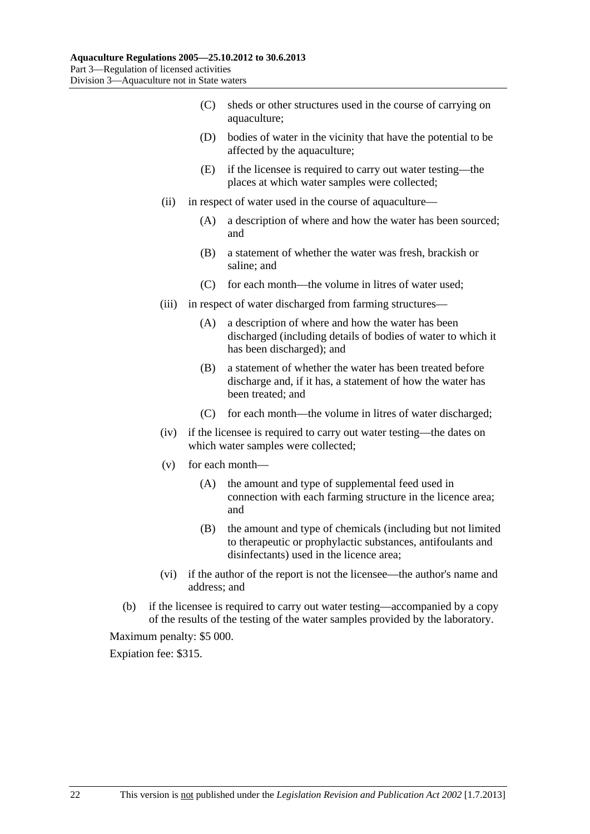- (C) sheds or other structures used in the course of carrying on aquaculture;
- (D) bodies of water in the vicinity that have the potential to be affected by the aquaculture;
- (E) if the licensee is required to carry out water testing—the places at which water samples were collected;
- (ii) in respect of water used in the course of aquaculture—
	- (A) a description of where and how the water has been sourced; and
	- (B) a statement of whether the water was fresh, brackish or saline; and
	- (C) for each month—the volume in litres of water used;
- (iii) in respect of water discharged from farming structures—
	- (A) a description of where and how the water has been discharged (including details of bodies of water to which it has been discharged); and
	- (B) a statement of whether the water has been treated before discharge and, if it has, a statement of how the water has been treated; and
	- (C) for each month—the volume in litres of water discharged;
- (iv) if the licensee is required to carry out water testing—the dates on which water samples were collected;
- (v) for each month—
	- (A) the amount and type of supplemental feed used in connection with each farming structure in the licence area; and
	- (B) the amount and type of chemicals (including but not limited to therapeutic or prophylactic substances, antifoulants and disinfectants) used in the licence area;
- (vi) if the author of the report is not the licensee—the author's name and address; and
- (b) if the licensee is required to carry out water testing—accompanied by a copy of the results of the testing of the water samples provided by the laboratory.

Expiation fee: \$315.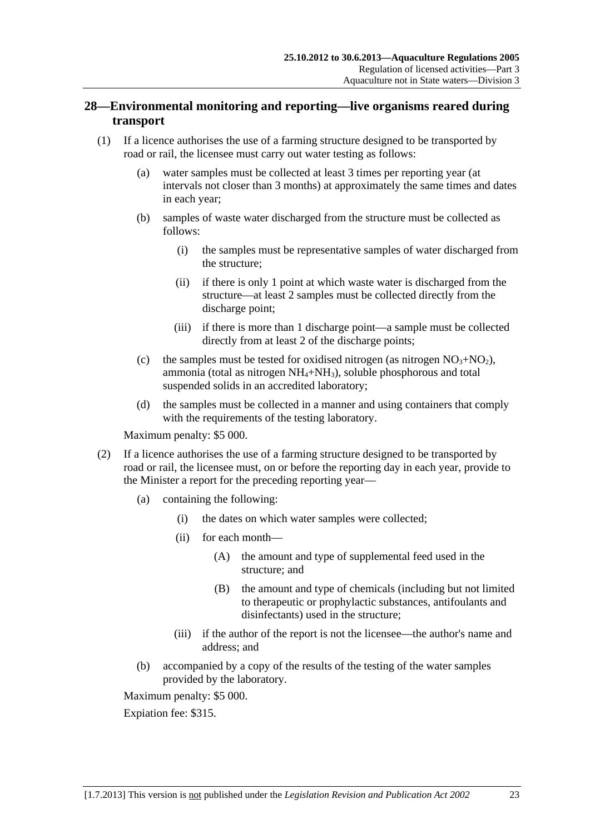## <span id="page-22-0"></span>**28—Environmental monitoring and reporting—live organisms reared during transport**

- (1) If a licence authorises the use of a farming structure designed to be transported by road or rail, the licensee must carry out water testing as follows:
	- (a) water samples must be collected at least 3 times per reporting year (at intervals not closer than 3 months) at approximately the same times and dates in each year;
	- (b) samples of waste water discharged from the structure must be collected as follows:
		- (i) the samples must be representative samples of water discharged from the structure;
		- (ii) if there is only 1 point at which waste water is discharged from the structure—at least 2 samples must be collected directly from the discharge point;
		- (iii) if there is more than 1 discharge point—a sample must be collected directly from at least 2 of the discharge points;
	- (c) the samples must be tested for oxidised nitrogen (as nitrogen  $NO<sub>3</sub>+NO<sub>2</sub>$ ), ammonia (total as nitrogen NH4+NH3), soluble phosphorous and total suspended solids in an accredited laboratory;
	- (d) the samples must be collected in a manner and using containers that comply with the requirements of the testing laboratory.

Maximum penalty: \$5 000.

- (2) If a licence authorises the use of a farming structure designed to be transported by road or rail, the licensee must, on or before the reporting day in each year, provide to the Minister a report for the preceding reporting year—
	- (a) containing the following:
		- (i) the dates on which water samples were collected;
		- (ii) for each month—
			- (A) the amount and type of supplemental feed used in the structure; and
			- (B) the amount and type of chemicals (including but not limited to therapeutic or prophylactic substances, antifoulants and disinfectants) used in the structure;
		- (iii) if the author of the report is not the licensee—the author's name and address; and
	- (b) accompanied by a copy of the results of the testing of the water samples provided by the laboratory.

Maximum penalty: \$5 000.

Expiation fee: \$315.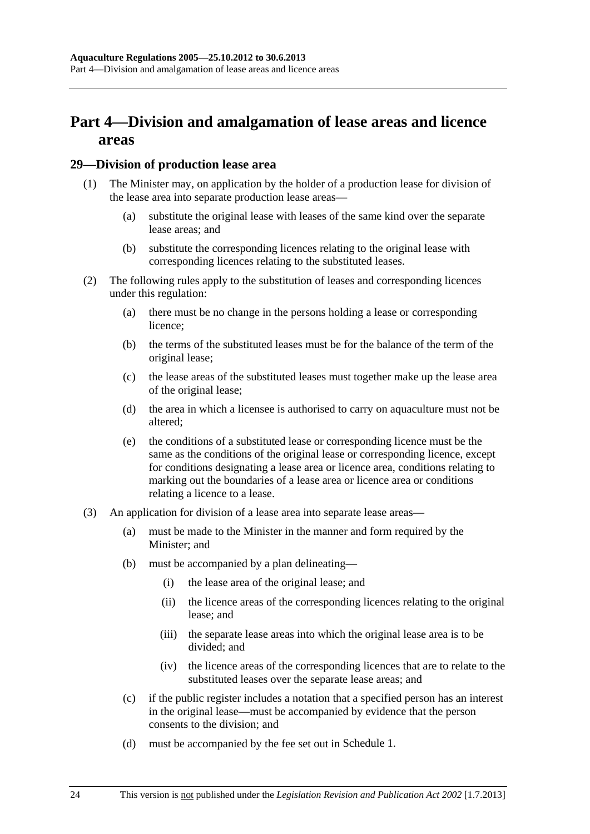## <span id="page-23-0"></span>**Part 4—Division and amalgamation of lease areas and licence areas**

#### **29—Division of production lease area**

- (1) The Minister may, on application by the holder of a production lease for division of the lease area into separate production lease areas—
	- (a) substitute the original lease with leases of the same kind over the separate lease areas; and
	- (b) substitute the corresponding licences relating to the original lease with corresponding licences relating to the substituted leases.
- (2) The following rules apply to the substitution of leases and corresponding licences under this regulation:
	- (a) there must be no change in the persons holding a lease or corresponding licence;
	- (b) the terms of the substituted leases must be for the balance of the term of the original lease;
	- (c) the lease areas of the substituted leases must together make up the lease area of the original lease;
	- (d) the area in which a licensee is authorised to carry on aquaculture must not be altered;
	- (e) the conditions of a substituted lease or corresponding licence must be the same as the conditions of the original lease or corresponding licence, except for conditions designating a lease area or licence area, conditions relating to marking out the boundaries of a lease area or licence area or conditions relating a licence to a lease.
- (3) An application for division of a lease area into separate lease areas—
	- (a) must be made to the Minister in the manner and form required by the Minister; and
	- (b) must be accompanied by a plan delineating—
		- (i) the lease area of the original lease; and
		- (ii) the licence areas of the corresponding licences relating to the original lease; and
		- (iii) the separate lease areas into which the original lease area is to be divided; and
		- (iv) the licence areas of the corresponding licences that are to relate to the substituted leases over the separate lease areas; and
	- (c) if the public register includes a notation that a specified person has an interest in the original lease—must be accompanied by evidence that the person consents to the division; and
	- (d) must be accompanied by the fee set out in [Schedule 1.](#page-28-0)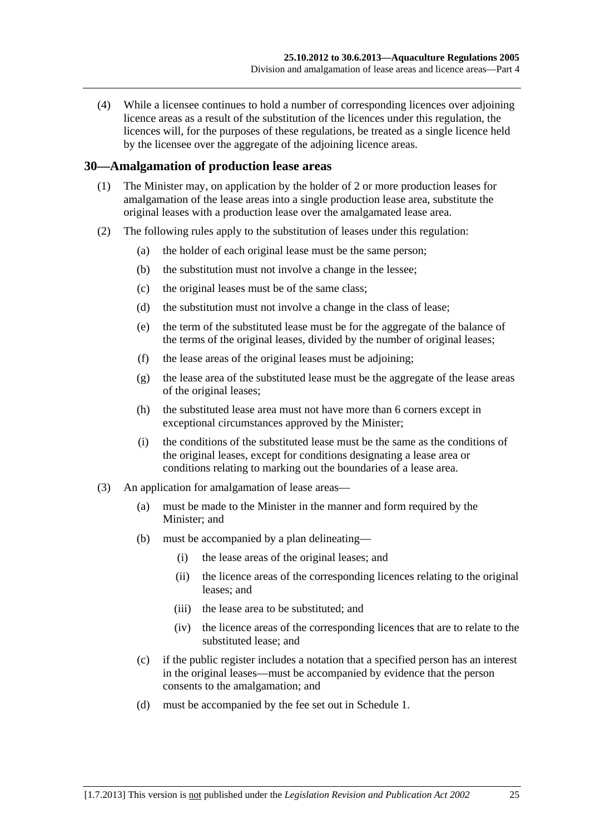<span id="page-24-0"></span> (4) While a licensee continues to hold a number of corresponding licences over adjoining licence areas as a result of the substitution of the licences under this regulation, the licences will, for the purposes of these regulations, be treated as a single licence held by the licensee over the aggregate of the adjoining licence areas.

#### **30—Amalgamation of production lease areas**

- (1) The Minister may, on application by the holder of 2 or more production leases for amalgamation of the lease areas into a single production lease area, substitute the original leases with a production lease over the amalgamated lease area.
- (2) The following rules apply to the substitution of leases under this regulation:
	- (a) the holder of each original lease must be the same person;
	- (b) the substitution must not involve a change in the lessee;
	- (c) the original leases must be of the same class;
	- (d) the substitution must not involve a change in the class of lease;
	- (e) the term of the substituted lease must be for the aggregate of the balance of the terms of the original leases, divided by the number of original leases;
	- (f) the lease areas of the original leases must be adjoining;
	- (g) the lease area of the substituted lease must be the aggregate of the lease areas of the original leases;
	- (h) the substituted lease area must not have more than 6 corners except in exceptional circumstances approved by the Minister;
	- (i) the conditions of the substituted lease must be the same as the conditions of the original leases, except for conditions designating a lease area or conditions relating to marking out the boundaries of a lease area.
- (3) An application for amalgamation of lease areas—
	- (a) must be made to the Minister in the manner and form required by the Minister; and
	- (b) must be accompanied by a plan delineating—
		- (i) the lease areas of the original leases; and
		- (ii) the licence areas of the corresponding licences relating to the original leases; and
		- (iii) the lease area to be substituted; and
		- (iv) the licence areas of the corresponding licences that are to relate to the substituted lease; and
	- (c) if the public register includes a notation that a specified person has an interest in the original leases—must be accompanied by evidence that the person consents to the amalgamation; and
	- (d) must be accompanied by the fee set out in [Schedule 1](#page-28-0).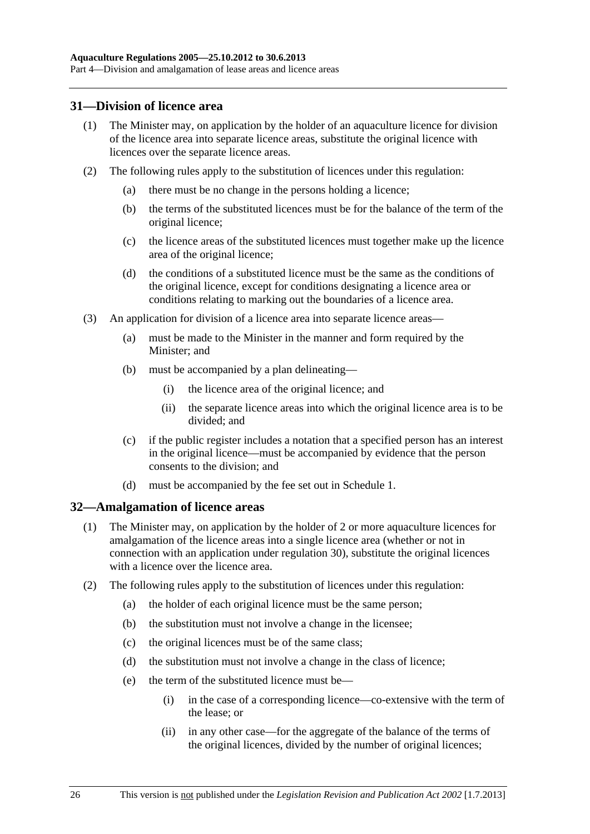#### <span id="page-25-0"></span>**31—Division of licence area**

- (1) The Minister may, on application by the holder of an aquaculture licence for division of the licence area into separate licence areas, substitute the original licence with licences over the separate licence areas.
- (2) The following rules apply to the substitution of licences under this regulation:
	- (a) there must be no change in the persons holding a licence;
	- (b) the terms of the substituted licences must be for the balance of the term of the original licence;
	- (c) the licence areas of the substituted licences must together make up the licence area of the original licence;
	- (d) the conditions of a substituted licence must be the same as the conditions of the original licence, except for conditions designating a licence area or conditions relating to marking out the boundaries of a licence area.
- (3) An application for division of a licence area into separate licence areas—
	- (a) must be made to the Minister in the manner and form required by the Minister; and
	- (b) must be accompanied by a plan delineating—
		- (i) the licence area of the original licence; and
		- (ii) the separate licence areas into which the original licence area is to be divided; and
	- (c) if the public register includes a notation that a specified person has an interest in the original licence—must be accompanied by evidence that the person consents to the division; and
	- (d) must be accompanied by the fee set out in [Schedule 1.](#page-28-0)

#### **32—Amalgamation of licence areas**

- (1) The Minister may, on application by the holder of 2 or more aquaculture licences for amalgamation of the licence areas into a single licence area (whether or not in connection with an application under [regulation 30](#page-0-0)), substitute the original licences with a licence over the licence area.
- (2) The following rules apply to the substitution of licences under this regulation:
	- (a) the holder of each original licence must be the same person;
	- (b) the substitution must not involve a change in the licensee;
	- (c) the original licences must be of the same class;
	- (d) the substitution must not involve a change in the class of licence;
	- (e) the term of the substituted licence must be—
		- (i) in the case of a corresponding licence—co-extensive with the term of the lease; or
		- (ii) in any other case—for the aggregate of the balance of the terms of the original licences, divided by the number of original licences;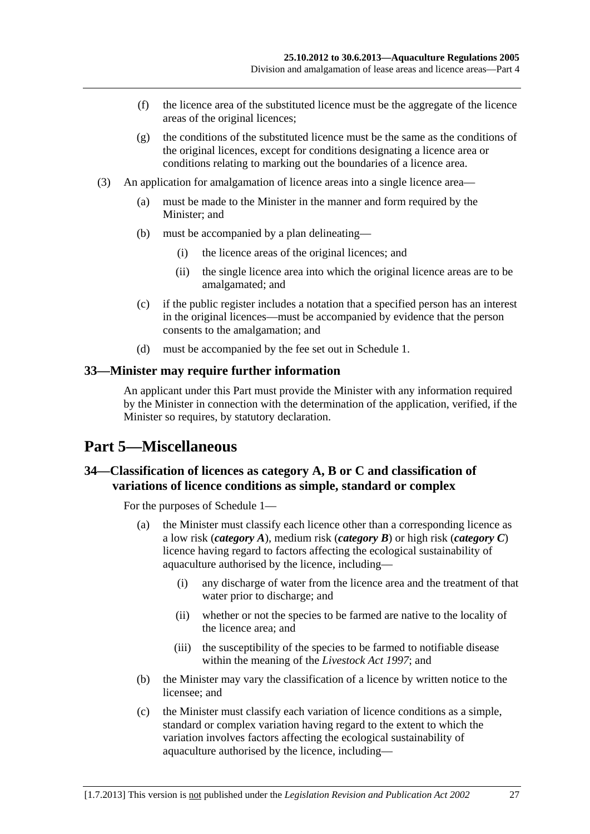- <span id="page-26-0"></span> (f) the licence area of the substituted licence must be the aggregate of the licence areas of the original licences;
- (g) the conditions of the substituted licence must be the same as the conditions of the original licences, except for conditions designating a licence area or conditions relating to marking out the boundaries of a licence area.
- (3) An application for amalgamation of licence areas into a single licence area—
	- (a) must be made to the Minister in the manner and form required by the Minister; and
	- (b) must be accompanied by a plan delineating—
		- (i) the licence areas of the original licences; and
		- (ii) the single licence area into which the original licence areas are to be amalgamated; and
	- (c) if the public register includes a notation that a specified person has an interest in the original licences—must be accompanied by evidence that the person consents to the amalgamation; and
	- (d) must be accompanied by the fee set out in [Schedule 1](#page-28-0).

#### **33—Minister may require further information**

An applicant under this Part must provide the Minister with any information required by the Minister in connection with the determination of the application, verified, if the Minister so requires, by statutory declaration.

## **Part 5—Miscellaneous**

## **34—Classification of licences as category A, B or C and classification of variations of licence conditions as simple, standard or complex**

For the purposes of [Schedule 1—](#page-28-0)

- (a) the Minister must classify each licence other than a corresponding licence as a low risk (*category A*), medium risk (*category B*) or high risk (*category C*) licence having regard to factors affecting the ecological sustainability of aquaculture authorised by the licence, including—
	- (i) any discharge of water from the licence area and the treatment of that water prior to discharge; and
	- (ii) whether or not the species to be farmed are native to the locality of the licence area; and
	- (iii) the susceptibility of the species to be farmed to notifiable disease within the meaning of the *[Livestock Act 1997](http://www.legislation.sa.gov.au/index.aspx?action=legref&type=act&legtitle=Livestock%20Act%201997)*; and
- (b) the Minister may vary the classification of a licence by written notice to the licensee; and
- (c) the Minister must classify each variation of licence conditions as a simple, standard or complex variation having regard to the extent to which the variation involves factors affecting the ecological sustainability of aquaculture authorised by the licence, including—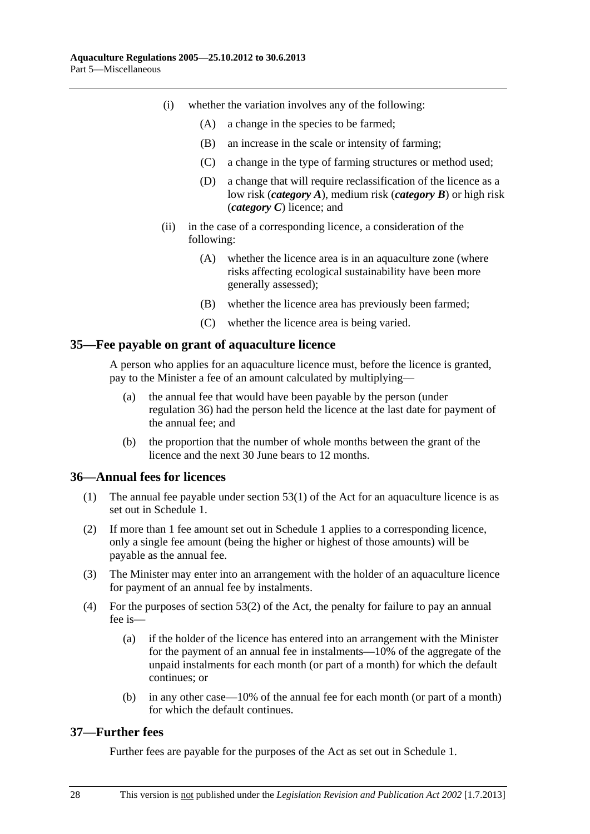- <span id="page-27-0"></span> (i) whether the variation involves any of the following:
	- (A) a change in the species to be farmed;
	- (B) an increase in the scale or intensity of farming;
	- (C) a change in the type of farming structures or method used;
	- (D) a change that will require reclassification of the licence as a low risk (*category A*), medium risk (*category B*) or high risk (*category C*) licence; and
- (ii) in the case of a corresponding licence, a consideration of the following:
	- (A) whether the licence area is in an aquaculture zone (where risks affecting ecological sustainability have been more generally assessed);
	- (B) whether the licence area has previously been farmed;
	- (C) whether the licence area is being varied.

#### **35—Fee payable on grant of aquaculture licence**

A person who applies for an aquaculture licence must, before the licence is granted, pay to the Minister a fee of an amount calculated by multiplying—

- (a) the annual fee that would have been payable by the person (under [regulation 36](#page-27-0)) had the person held the licence at the last date for payment of the annual fee; and
- (b) the proportion that the number of whole months between the grant of the licence and the next 30 June bears to 12 months.

#### **36—Annual fees for licences**

- (1) The annual fee payable under section 53(1) of the Act for an aquaculture licence is as set out in [Schedule 1](#page-28-0).
- (2) If more than 1 fee amount set out in [Schedule 1](#page-28-0) applies to a corresponding licence, only a single fee amount (being the higher or highest of those amounts) will be payable as the annual fee.
- (3) The Minister may enter into an arrangement with the holder of an aquaculture licence for payment of an annual fee by instalments.
- (4) For the purposes of section 53(2) of the Act, the penalty for failure to pay an annual fee is—
	- (a) if the holder of the licence has entered into an arrangement with the Minister for the payment of an annual fee in instalments—10% of the aggregate of the unpaid instalments for each month (or part of a month) for which the default continues; or
	- (b) in any other case—10% of the annual fee for each month (or part of a month) for which the default continues.

## **37—Further fees**

Further fees are payable for the purposes of the Act as set out in [Schedule 1](#page-28-0).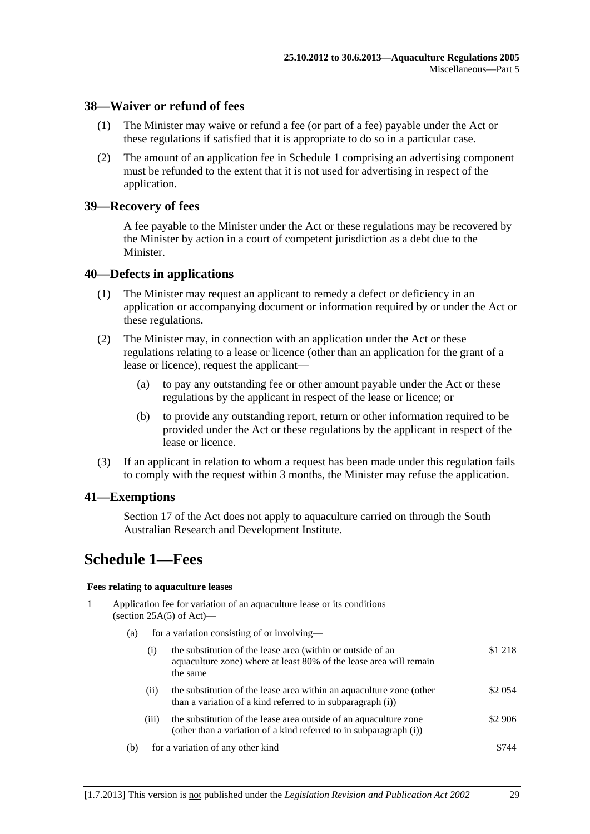#### <span id="page-28-0"></span>**38—Waiver or refund of fees**

- (1) The Minister may waive or refund a fee (or part of a fee) payable under the Act or these regulations if satisfied that it is appropriate to do so in a particular case.
- (2) The amount of an application fee in [Schedule 1](#page-28-0) comprising an advertising component must be refunded to the extent that it is not used for advertising in respect of the application.

#### **39—Recovery of fees**

A fee payable to the Minister under the Act or these regulations may be recovered by the Minister by action in a court of competent jurisdiction as a debt due to the Minister.

#### **40—Defects in applications**

- (1) The Minister may request an applicant to remedy a defect or deficiency in an application or accompanying document or information required by or under the Act or these regulations.
- (2) The Minister may, in connection with an application under the Act or these regulations relating to a lease or licence (other than an application for the grant of a lease or licence), request the applicant—
	- (a) to pay any outstanding fee or other amount payable under the Act or these regulations by the applicant in respect of the lease or licence; or
	- (b) to provide any outstanding report, return or other information required to be provided under the Act or these regulations by the applicant in respect of the lease or licence.
- (3) If an applicant in relation to whom a request has been made under this regulation fails to comply with the request within 3 months, the Minister may refuse the application.

#### **41—Exemptions**

Section 17 of the Act does not apply to aquaculture carried on through the South Australian Research and Development Institute.

## **Schedule 1—Fees**

#### **Fees relating to aquaculture leases**

- 1 Application fee for variation of an aquaculture lease or its conditions (section  $25A(5)$  of Act)—
	- (a) for a variation consisting of or involving—

|     | (1)   | the substitution of the lease area (within or outside of an<br>aquaculture zone) where at least 80% of the lease area will remain<br>the same | \$1 218  |
|-----|-------|-----------------------------------------------------------------------------------------------------------------------------------------------|----------|
|     | (11)  | the substitution of the lease area within an aquaculture zone (other<br>than a variation of a kind referred to in subparagraph (i))           | \$2 0 54 |
|     | (iii) | the substitution of the lease area outside of an aquaculture zone<br>(other than a variation of a kind referred to in subparagraph (i))       | \$2 906  |
| (b) |       | for a variation of any other kind                                                                                                             | \$744    |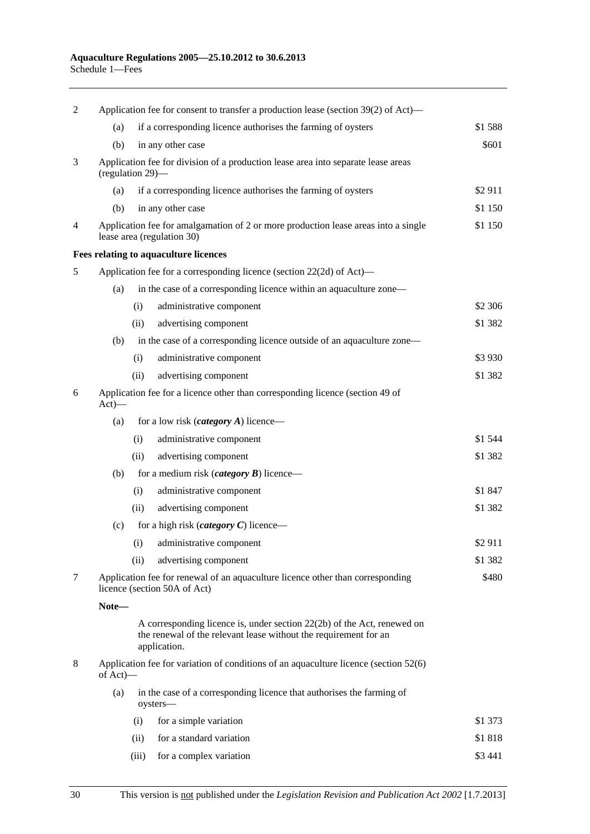| Application fee for consent to transfer a production lease (section 39(2) of Act)—<br>2        |                                                                                                       |       |                                                                                                                                                             |           |
|------------------------------------------------------------------------------------------------|-------------------------------------------------------------------------------------------------------|-------|-------------------------------------------------------------------------------------------------------------------------------------------------------------|-----------|
|                                                                                                | (a)                                                                                                   |       | if a corresponding licence authorises the farming of oysters                                                                                                | \$1588    |
|                                                                                                | (b)                                                                                                   |       | in any other case                                                                                                                                           | \$601     |
| 3                                                                                              | Application fee for division of a production lease area into separate lease areas<br>(regulation 29)- |       |                                                                                                                                                             |           |
|                                                                                                | (a)                                                                                                   |       | if a corresponding licence authorises the farming of oysters                                                                                                | \$2911    |
|                                                                                                | (b)                                                                                                   |       | in any other case                                                                                                                                           | \$1 150   |
| $\overline{4}$                                                                                 |                                                                                                       |       | Application fee for amalgamation of 2 or more production lease areas into a single<br>lease area (regulation 30)                                            | \$1 150   |
|                                                                                                |                                                                                                       |       | Fees relating to aquaculture licences                                                                                                                       |           |
| 5                                                                                              |                                                                                                       |       | Application fee for a corresponding licence (section 22(2d) of Act)—                                                                                        |           |
|                                                                                                | (a)                                                                                                   |       | in the case of a corresponding licence within an aquaculture zone—                                                                                          |           |
|                                                                                                |                                                                                                       | (i)   | administrative component                                                                                                                                    | \$2 306   |
|                                                                                                |                                                                                                       | (ii)  | advertising component                                                                                                                                       | \$1 3 8 2 |
|                                                                                                | (b)                                                                                                   |       | in the case of a corresponding licence outside of an aquaculture zone—                                                                                      |           |
|                                                                                                |                                                                                                       | (i)   | administrative component                                                                                                                                    | \$3 9 30  |
|                                                                                                |                                                                                                       | (ii)  | advertising component                                                                                                                                       | \$1 382   |
| Application fee for a licence other than corresponding licence (section 49 of<br>6<br>$Act)$ — |                                                                                                       |       |                                                                                                                                                             |           |
|                                                                                                | (a)                                                                                                   |       | for a low risk ( <i>category A</i> ) licence—                                                                                                               |           |
|                                                                                                |                                                                                                       | (i)   | administrative component                                                                                                                                    | \$1 544   |
|                                                                                                |                                                                                                       | (ii)  | advertising component                                                                                                                                       | \$1 382   |
|                                                                                                | (b)                                                                                                   |       | for a medium risk ( <i>category</i> $\bm{B}$ ) licence—                                                                                                     |           |
|                                                                                                |                                                                                                       | (i)   | administrative component                                                                                                                                    | \$1 847   |
|                                                                                                |                                                                                                       | (ii)  | advertising component                                                                                                                                       | \$1 3 8 2 |
|                                                                                                | (c)                                                                                                   |       | for a high risk ( <i>category</i> $C$ ) licence—                                                                                                            |           |
|                                                                                                |                                                                                                       | (i)   | administrative component                                                                                                                                    | \$2911    |
|                                                                                                |                                                                                                       | (ii)  | advertising component                                                                                                                                       | \$1 382   |
| 7<br>licence (section 50A of Act)                                                              |                                                                                                       |       | Application fee for renewal of an aquaculture licence other than corresponding                                                                              | \$480     |
|                                                                                                | Note-                                                                                                 |       |                                                                                                                                                             |           |
|                                                                                                |                                                                                                       |       | A corresponding licence is, under section 22(2b) of the Act, renewed on<br>the renewal of the relevant lease without the requirement for an<br>application. |           |
| 8                                                                                              | Application fee for variation of conditions of an aquaculture licence (section 52(6)<br>of $Act$ )—   |       |                                                                                                                                                             |           |
|                                                                                                | (a)                                                                                                   |       | in the case of a corresponding licence that authorises the farming of<br>oysters-                                                                           |           |
|                                                                                                |                                                                                                       | (i)   | for a simple variation                                                                                                                                      | \$1 373   |
|                                                                                                |                                                                                                       | (ii)  | for a standard variation                                                                                                                                    | \$1818    |
|                                                                                                |                                                                                                       | (iii) | for a complex variation                                                                                                                                     | \$3 441   |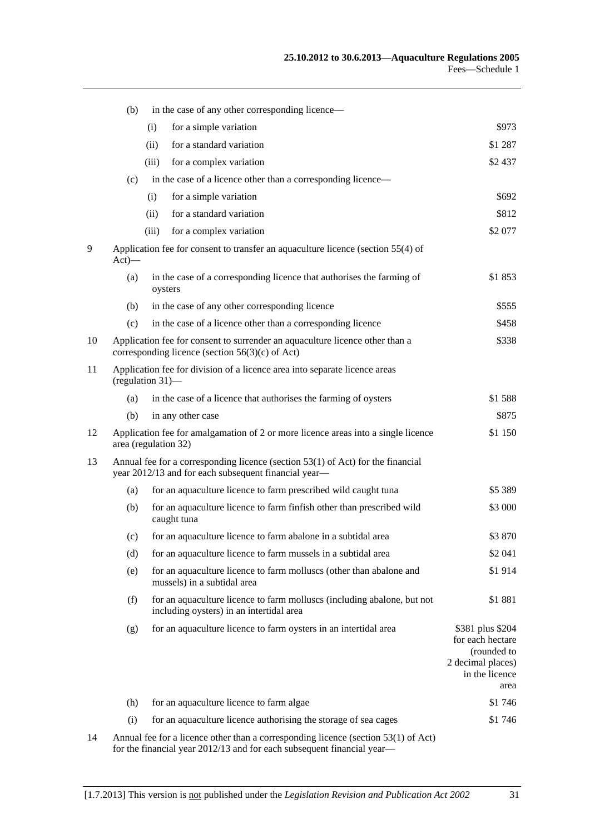|    | (b)                                                                                            |       | in the case of any other corresponding licence—                                                                                           |                                                                                                    |
|----|------------------------------------------------------------------------------------------------|-------|-------------------------------------------------------------------------------------------------------------------------------------------|----------------------------------------------------------------------------------------------------|
|    |                                                                                                | (i)   | for a simple variation                                                                                                                    | \$973                                                                                              |
|    |                                                                                                | (ii)  | for a standard variation                                                                                                                  | \$1 287                                                                                            |
|    |                                                                                                | (iii) | for a complex variation                                                                                                                   | \$2 437                                                                                            |
|    | (c)                                                                                            |       | in the case of a licence other than a corresponding licence—                                                                              |                                                                                                    |
|    |                                                                                                | (i)   | for a simple variation                                                                                                                    | \$692                                                                                              |
|    |                                                                                                | (ii)  | for a standard variation                                                                                                                  | \$812                                                                                              |
|    |                                                                                                | (iii) | for a complex variation                                                                                                                   | \$2 077                                                                                            |
| 9  | $Act)$ —                                                                                       |       | Application fee for consent to transfer an aquaculture licence (section 55(4) of                                                          |                                                                                                    |
|    | (a)                                                                                            |       | in the case of a corresponding licence that authorises the farming of<br>oysters                                                          | \$1853                                                                                             |
|    | (b)                                                                                            |       | in the case of any other corresponding licence                                                                                            | \$555                                                                                              |
|    | (c)                                                                                            |       | in the case of a licence other than a corresponding licence                                                                               | \$458                                                                                              |
| 10 |                                                                                                |       | Application fee for consent to surrender an aquaculture licence other than a<br>corresponding licence (section $56(3)(c)$ of Act)         | \$338                                                                                              |
| 11 | Application fee for division of a licence area into separate licence areas<br>(regulation 31)- |       |                                                                                                                                           |                                                                                                    |
|    | (a)                                                                                            |       | in the case of a licence that authorises the farming of oysters                                                                           | \$1588                                                                                             |
|    | (b)                                                                                            |       | in any other case                                                                                                                         | \$875                                                                                              |
| 12 | area (regulation 32)                                                                           |       | Application fee for amalgamation of 2 or more licence areas into a single licence                                                         | \$1 150                                                                                            |
| 13 |                                                                                                |       | Annual fee for a corresponding licence (section $53(1)$ of Act) for the financial<br>year 2012/13 and for each subsequent financial year- |                                                                                                    |
|    | (a)                                                                                            |       | for an aquaculture licence to farm prescribed wild caught tuna                                                                            | \$5 389                                                                                            |
|    | (b)                                                                                            |       | for an aquaculture licence to farm finfish other than prescribed wild<br>caught tuna                                                      | \$3 000                                                                                            |
|    | (c)                                                                                            |       | for an aquaculture licence to farm abalone in a subtidal area                                                                             | \$3870                                                                                             |
|    | (d)                                                                                            |       | for an aquaculture licence to farm mussels in a subtidal area                                                                             | \$2 041                                                                                            |
|    | (e)                                                                                            |       | for an aquaculture licence to farm molluscs (other than abalone and<br>mussels) in a subtidal area                                        | \$1914                                                                                             |
|    | (f)                                                                                            |       | for an aquaculture licence to farm molluscs (including abalone, but not<br>including oysters) in an intertidal area                       | \$1881                                                                                             |
|    | (g)                                                                                            |       | for an aquaculture licence to farm oysters in an intertidal area                                                                          | \$381 plus \$204<br>for each hectare<br>(rounded to<br>2 decimal places)<br>in the licence<br>area |
|    | (h)                                                                                            |       | for an aquaculture licence to farm algae                                                                                                  | \$1746                                                                                             |
|    | (i)                                                                                            |       | for an aquaculture licence authorising the storage of sea cages                                                                           | \$1746                                                                                             |
| 14 |                                                                                                |       | Annual fee for a licence other than a corresponding licence (section 53(1) of Act)                                                        |                                                                                                    |

for the financial year 2012/13 and for each subsequent financial year—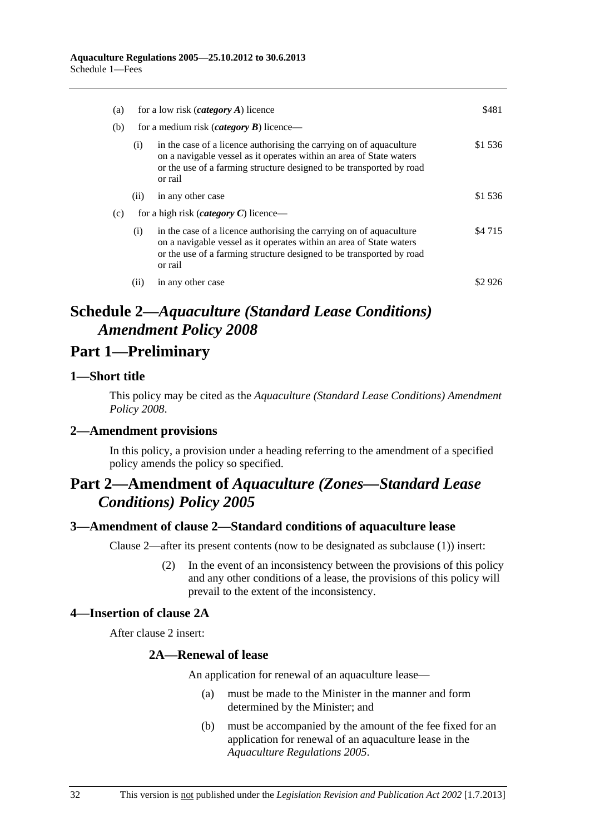<span id="page-31-0"></span>

| (a) |                                                | for a low risk ( <i>category A</i> ) licence                                                                                                                                                                                  | \$481     |
|-----|------------------------------------------------|-------------------------------------------------------------------------------------------------------------------------------------------------------------------------------------------------------------------------------|-----------|
| (b) | for a medium risk <i>(category B)</i> licence— |                                                                                                                                                                                                                               |           |
|     | (i)                                            | in the case of a licence authorising the carrying on of aquaculture<br>on a navigable vessel as it operates within an area of State waters<br>or the use of a farming structure designed to be transported by road<br>or rail | \$1 536   |
|     | (11)                                           | in any other case                                                                                                                                                                                                             | \$1 536   |
| (c) |                                                | for a high risk ( <i>category C</i> ) licence—                                                                                                                                                                                |           |
|     | (i)                                            | in the case of a licence authorising the carrying on of aquaculture<br>on a navigable vessel as it operates within an area of State waters<br>or the use of a farming structure designed to be transported by road<br>or rail | \$4 7 1 5 |
|     | (11)                                           | in any other case                                                                                                                                                                                                             | \$2.926   |

## **Schedule 2—***Aquaculture (Standard Lease Conditions) Amendment Policy 2008*

## **Part 1—Preliminary**

#### **1—Short title**

This policy may be cited as the *[Aquaculture \(Standard Lease Conditions\) Amendment](http://www.legislation.sa.gov.au/index.aspx?action=legref&type=subordleg&legtitle=Aquaculture%20(Standard%20Lease%20Conditions)%20Amendment%20Policy%202008)  [Policy 2008](http://www.legislation.sa.gov.au/index.aspx?action=legref&type=subordleg&legtitle=Aquaculture%20(Standard%20Lease%20Conditions)%20Amendment%20Policy%202008)*.

## **2—Amendment provisions**

In this policy, a provision under a heading referring to the amendment of a specified policy amends the policy so specified.

## **Part 2—Amendment of** *Aquaculture (Zones—Standard Lease Conditions) Policy 2005*

## **3—Amendment of clause 2—Standard conditions of aquaculture lease**

Clause 2—after its present contents (now to be designated as subclause (1)) insert:

 (2) In the event of an inconsistency between the provisions of this policy and any other conditions of a lease, the provisions of this policy will prevail to the extent of the inconsistency.

## **4—Insertion of clause 2A**

After clause 2 insert:

#### **2A—Renewal of lease**

An application for renewal of an aquaculture lease—

- (a) must be made to the Minister in the manner and form determined by the Minister; and
- (b) must be accompanied by the amount of the fee fixed for an application for renewal of an aquaculture lease in the *[Aquaculture Regulations 2005](http://www.legislation.sa.gov.au/index.aspx?action=legref&type=subordleg&legtitle=Aquaculture%20Regulations%202005)*.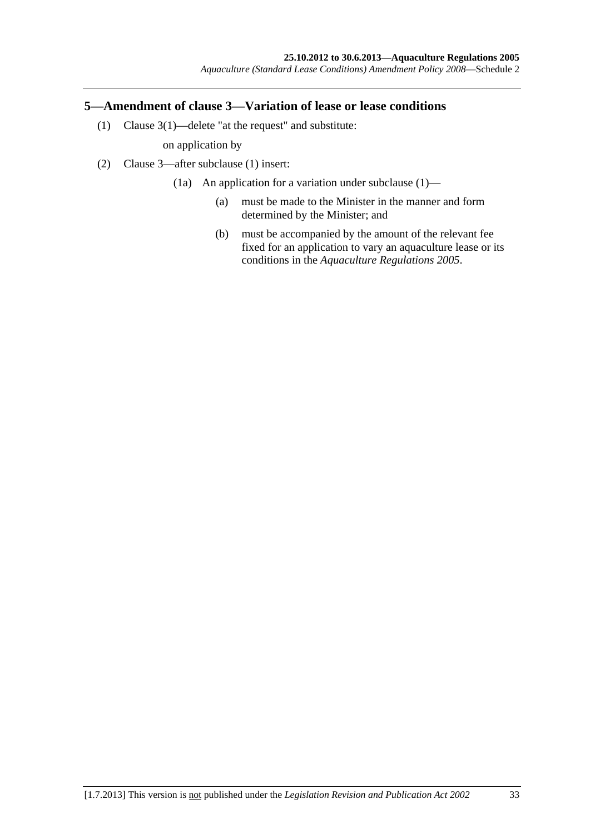## <span id="page-32-0"></span>**5—Amendment of clause 3—Variation of lease or lease conditions**

(1) Clause 3(1)—delete "at the request" and substitute:

on application by

- (2) Clause 3—after subclause (1) insert:
	- (1a) An application for a variation under subclause (1)—
		- (a) must be made to the Minister in the manner and form determined by the Minister; and
		- (b) must be accompanied by the amount of the relevant fee fixed for an application to vary an aquaculture lease or its conditions in the *[Aquaculture Regulations 2005](http://www.legislation.sa.gov.au/index.aspx?action=legref&type=subordleg&legtitle=Aquaculture%20Regulations%202005)*.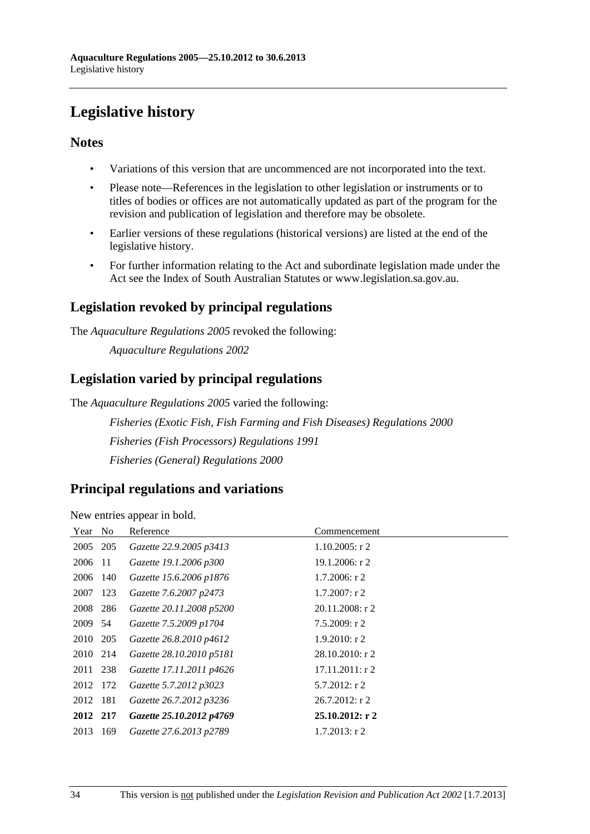# <span id="page-33-0"></span>**Legislative history**

## **Notes**

- Variations of this version that are uncommenced are not incorporated into the text.
- Please note—References in the legislation to other legislation or instruments or to titles of bodies or offices are not automatically updated as part of the program for the revision and publication of legislation and therefore may be obsolete.
- Earlier versions of these regulations (historical versions) are listed at the end of the legislative history.
- For further information relating to the Act and subordinate legislation made under the Act see the Index of South Australian Statutes or www.legislation.sa.gov.au.

## **Legislation revoked by principal regulations**

The *Aquaculture Regulations 2005* revoked the following:

*Aquaculture Regulations 2002*

## **Legislation varied by principal regulations**

The *Aquaculture Regulations 2005* varied the following:

*Fisheries (Exotic Fish, Fish Farming and Fish Diseases) Regulations 2000 Fisheries (Fish Processors) Regulations 1991 Fisheries (General) Regulations 2000*

## **Principal regulations and variations**

New entries appear in bold.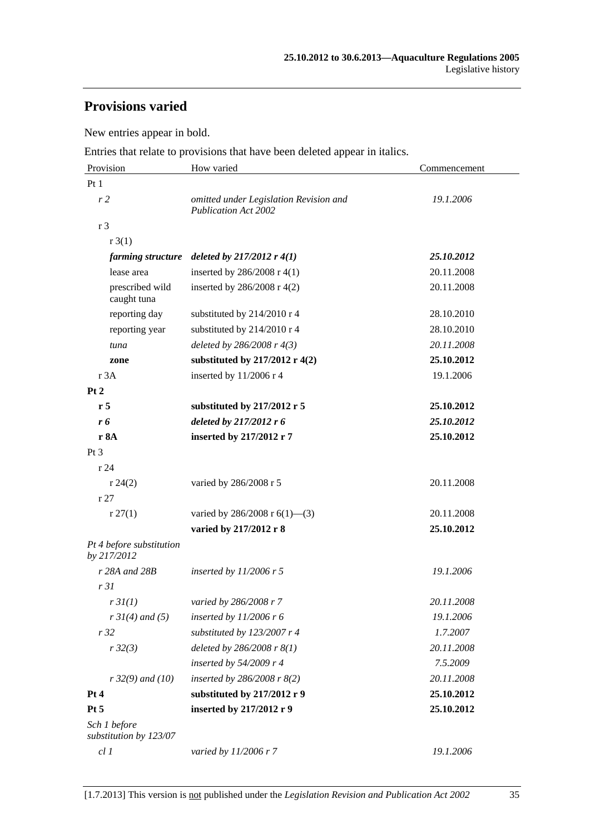## **Provisions varied**

New entries appear in bold.

Entries that relate to provisions that have been deleted appear in italics.

| Provision                               | How varied                                                            | Commencement |  |
|-----------------------------------------|-----------------------------------------------------------------------|--------------|--|
| Pt <sub>1</sub>                         |                                                                       |              |  |
| r <sub>2</sub>                          | omitted under Legislation Revision and<br><b>Publication Act 2002</b> | 19.1.2006    |  |
| r 3                                     |                                                                       |              |  |
| r3(1)                                   |                                                                       |              |  |
| farming structure                       | deleted by $217/2012$ r $4(1)$                                        | 25.10.2012   |  |
| lease area                              | inserted by $286/2008$ r 4(1)                                         | 20.11.2008   |  |
| prescribed wild<br>caught tuna          | inserted by $286/2008$ r 4(2)                                         | 20.11.2008   |  |
| reporting day                           | substituted by 214/2010 r 4                                           | 28.10.2010   |  |
| reporting year                          | substituted by 214/2010 r 4                                           | 28.10.2010   |  |
| tuna                                    | deleted by $286/2008$ r $4(3)$                                        | 20.11.2008   |  |
| zone                                    | substituted by 217/2012 r 4(2)                                        | 25.10.2012   |  |
| r 3A                                    | inserted by 11/2006 r 4                                               | 19.1.2006    |  |
| Pt 2                                    |                                                                       |              |  |
| r <sub>5</sub>                          | substituted by $217/2012$ r 5                                         | 25.10.2012   |  |
| r 6                                     | deleted by 217/2012 r 6                                               | 25.10.2012   |  |
| r 8A                                    | inserted by 217/2012 r 7                                              | 25.10.2012   |  |
| Pt <sub>3</sub>                         |                                                                       |              |  |
| r24                                     |                                                                       |              |  |
| r 24(2)                                 | varied by 286/2008 r 5                                                | 20.11.2008   |  |
| r27                                     |                                                                       |              |  |
| r 27(1)                                 | varied by 286/2008 r $6(1)$ —(3)                                      | 20.11.2008   |  |
|                                         | varied by 217/2012 r 8                                                | 25.10.2012   |  |
| Pt 4 before substitution<br>by 217/2012 |                                                                       |              |  |
| r 28A and 28B                           | inserted by $11/2006$ r 5                                             | 19.1.2006    |  |
| r31                                     |                                                                       |              |  |
| r 3l(1)                                 | varied by 286/2008 r 7                                                | 20.11.2008   |  |
| $r \, 31(4)$ and (5)                    | inserted by $11/2006$ r 6                                             | 19.1.2006    |  |
| r32                                     | substituted by 123/2007 r 4                                           | 1.7.2007     |  |
| r32(3)                                  | deleted by $286/2008$ r $8(1)$                                        | 20.11.2008   |  |
|                                         | inserted by $54/2009$ r 4                                             | 7.5.2009     |  |
| $r32(9)$ and (10)                       | inserted by $286/2008$ r $8(2)$                                       | 20.11.2008   |  |
| Pt 4                                    | substituted by 217/2012 r 9                                           | 25.10.2012   |  |
| Pt 5                                    | inserted by 217/2012 r 9                                              | 25.10.2012   |  |
| Sch 1 before<br>substitution by 123/07  |                                                                       |              |  |
| cl1                                     | varied by 11/2006 r 7                                                 | 19.1.2006    |  |